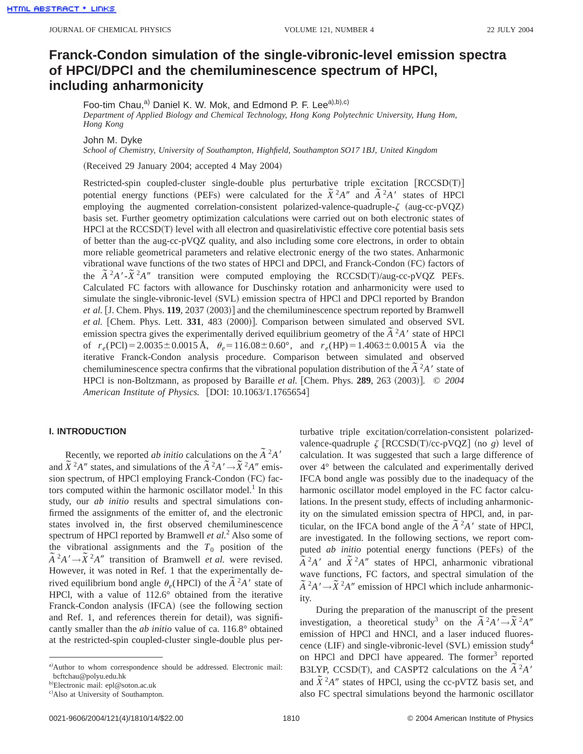# **Franck-Condon simulation of the single-vibronic-level emission spectra of HPClÕDPCl and the chemiluminescence spectrum of HPCl, including anharmonicity**

Foo-tim Chau,<sup>a)</sup> Daniel K. W. Mok, and Edmond P. F. Lee<sup>a),b),c)</sup> *Department of Applied Biology and Chemical Technology, Hong Kong Polytechnic University, Hung Hom, Hong Kong*

John M. Dyke

*School of Chemistry, University of Southampton, Highfield, Southampton SO17 1BJ, United Kingdom*

(Received 29 January 2004; accepted 4 May 2004)

Restricted-spin coupled-cluster single-double plus perturbative triple excitation  $[RCCSD(T)]$ potential energy functions (PEFs) were calculated for the  $\tilde{X}^2 A''$  and  $\tilde{A}^2 A'$  states of HPCl employing the augmented correlation-consistent polarized-valence-quadruple- $\zeta$  (aug-cc-pVQZ) basis set. Further geometry optimization calculations were carried out on both electronic states of HPCl at the RCCSD(T) level with all electron and quasirelativistic effective core potential basis sets of better than the aug-cc-pVQZ quality, and also including some core electrons, in order to obtain more reliable geometrical parameters and relative electronic energy of the two states. Anharmonic vibrational wave functions of the two states of HPCl and DPCl, and Franck-Condon (FC) factors of the  $\tilde{A}^2 A' - \tilde{X}^2 A''$  transition were computed employing the RCCSD(T)/aug-cc-pVQZ PEFs. Calculated FC factors with allowance for Duschinsky rotation and anharmonicity were used to simulate the single-vibronic-level (SVL) emission spectra of HPCl and DPCl reported by Brandon *et al.* [J. Chem. Phys. 119, 2037 (2003)] and the chemiluminescence spectrum reported by Bramwell *et al.* [Chem. Phys. Lett. 331, 483 (2000)]. Comparison between simulated and observed SVL emission spectra gives the experimentally derived equilibrium geometry of the  $\tilde{A}^2A'$  state of HPCl emission spectra gives the experimentally derived equilibrium geometry of the  $\tilde{A}^2A'$  state of HPCl of  $r_e(PCl) = 2.0035 \pm 0.0015 \text{ Å}$ ,  $\theta_e = 116.08 \pm 0.60^{\circ}$ , and  $r_e(HP) = 1.4063 \pm 0.0015 \text{ Å}$  via the iterative Franck-Condon analysis procedure. Comparison between simulated and observed chemiluminescence spectra confirms that the vibrational population distribution of the  $\tilde{A}^2 A'$  state of HPCl is non-Boltzmann, as proposed by Baraille *et al.* [Chem. Phys.  $289$ ,  $263$   $(2003)$ ]. ©  $2004$ *American Institute of Physics.* [DOI: 10.1063/1.1765654]

#### **I. INTRODUCTION**

Recently, we reported *ab initio* calculations on the  $\tilde{A}^2 A'$ and  $\tilde{X}^2 A''$  states, and simulations of the  $\tilde{A}^2 A' \rightarrow \tilde{X}^2 A''$  emission spectrum, of HPCl employing Franck-Condon (FC) factors computed within the harmonic oscillator model. $<sup>1</sup>$  In this</sup> study, our *ab initio* results and spectral simulations confirmed the assignments of the emitter of, and the electronic states involved in, the first observed chemiluminescence spectrum of HPCl reported by Bramwell *et al.*<sup>2</sup> Also some of the vibrational assignments and the  $T_0$  position of the  $\tilde{A}^2 A' \rightarrow \tilde{X}^2 A''$  transition of Bramwell *et al.* were revised. However, it was noted in Ref. 1 that the experimentally derived equilibrium bond angle  $\theta_e$ (HPCl) of the  $\tilde{A}^2A'$  state of HPCl, with a value of 112.6° obtained from the iterative Franck-Condon analysis (IFCA) (see the following section and Ref. 1, and references therein for detail), was significantly smaller than the *ab initio* value of ca. 116.8° obtained at the restricted-spin coupled-cluster single-double plus perturbative triple excitation/correlation-consistent polarizedvalence-quadruple  $\zeta$  [RCCSD(T)/cc-pVQZ] (no *g*) level of calculation. It was suggested that such a large difference of over 4° between the calculated and experimentally derived IFCA bond angle was possibly due to the inadequacy of the harmonic oscillator model employed in the FC factor calculations. In the present study, effects of including anharmonicity on the simulated emission spectra of HPCl, and, in particular, on the IFCA bond angle of the  $\tilde{A}^2A'$  state of HPCl, are investigated. In the following sections, we report computed *ab initio* potential energy functions (PEFs) of the  $\tilde{A}^2 A'$  and  $\tilde{X}^2 A''$  states of HPCl, anharmonic vibrational wave functions, FC factors, and spectral simulation of the  $\tilde{A}^2 A' \rightarrow \tilde{X}^2 A''$  emission of HPCl which include anharmonicity.

During the preparation of the manuscript of the present investigation, a theoretical study<sup>3</sup> on the  $\tilde{A}^2 A' \rightarrow \tilde{X}^2 A''$ emission of HPCl and HNCl, and a laser induced fluorescence (LIF) and single-vibronic-level (SVL) emission study<sup>4</sup> on HPCl and DPCl have appeared. The former $3$  reported B3LYP, CCSD(T), and CASPT2 calculations on the  $\tilde{A}^2 A'$  $\sum_{i=1}^{n} \sum_{i=1}^{n} A^{i}$  states of HPCl, using the cc-pVTZ basis set, and also FC spectral simulations beyond the harmonic oscillator

a)Author to whom correspondence should be addressed. Electronic mail: bcftchau@polyu.edu.hk

<sup>&</sup>lt;sup>b)</sup>Electronic mail: epl@soton.ac.uk

c) Also at University of Southampton.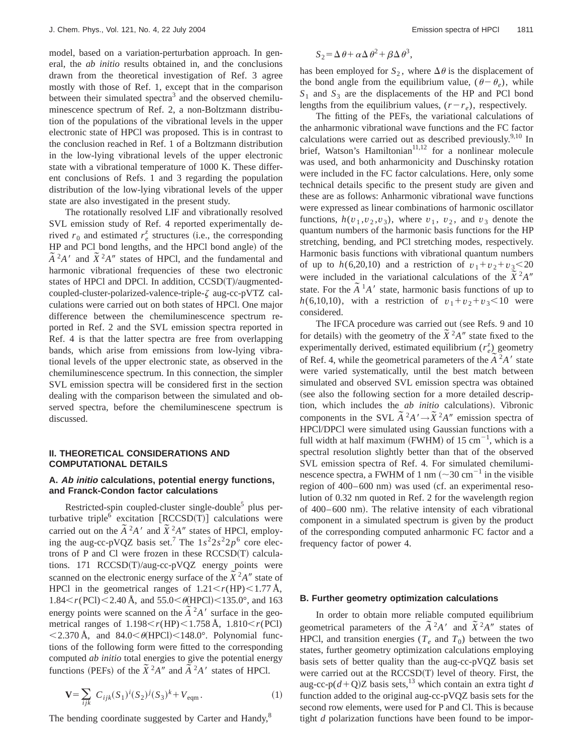model, based on a variation-perturbation approach. In general, the *ab initio* results obtained in, and the conclusions drawn from the theoretical investigation of Ref. 3 agree mostly with those of Ref. 1, except that in the comparison between their simulated spectra<sup>3</sup> and the observed chemiluminescence spectrum of Ref. 2, a non-Boltzmann distribution of the populations of the vibrational levels in the upper electronic state of HPCl was proposed. This is in contrast to the conclusion reached in Ref. 1 of a Boltzmann distribution in the low-lying vibrational levels of the upper electronic state with a vibrational temperature of 1000 K. These different conclusions of Refs. 1 and 3 regarding the population distribution of the low-lying vibrational levels of the upper state are also investigated in the present study.

The rotationally resolved LIF and vibrationally resolved SVL emission study of Ref. 4 reported experimentally derived  $r_0$  and estimated  $r_e^z$  structures (i.e., the corresponding HP and PCl bond lengths, and the HPCl bond angle) of the  $\tilde{A}^2 A'$  and  $\tilde{X}^2 A''$  states of HPCl, and the fundamental and harmonic vibrational frequencies of these two electronic states of HPCl and DPCl. In addition,  $CCSD(T)/augmented$ coupled-cluster-polarized-valence-triple- $\zeta$  aug-cc-pVTZ calculations were carried out on both states of HPCl. One major difference between the chemiluminescence spectrum reported in Ref. 2 and the SVL emission spectra reported in Ref. 4 is that the latter spectra are free from overlapping bands, which arise from emissions from low-lying vibrational levels of the upper electronic state, as observed in the chemiluminescence spectrum. In this connection, the simpler SVL emission spectra will be considered first in the section dealing with the comparison between the simulated and observed spectra, before the chemiluminescene spectrum is discussed.

#### **II. THEORETICAL CONSIDERATIONS AND COMPUTATIONAL DETAILS**

## **A. Ab initio calculations, potential energy functions, and Franck-Condon factor calculations**

Restricted-spin coupled-cluster single-double<sup>5</sup> plus perturbative triple<sup>6</sup> excitation  $[RCCSD(T)]$  calculations were carried out on the  $\tilde{A}^2A'$  and  $\tilde{X}^2A''$  states of HPCl, employing the aug-cc-pVQZ basis set.<sup>7</sup> The  $1s^2 2s^2 2p^6$  core electrons of P and Cl were frozen in these  $RCCSD(T)$  calculations. 171 RCCSD $(T)/aug-cc-pVQZ$  energy points were scanned on the electronic energy surface of the  $\tilde{X}^2 A''$  state of HPCl in the geometrical ranges of  $1.21 \le r(HP) \le 1.77 \text{ Å}$ ,  $1.84 < r(PCl) < 2.40$  Å, and  $55.0 < \theta$ (HPCl) $< 135.0^{\circ}$ , and 163 energy points were scanned on the  $\tilde{A}^2A'$  surface in the geometrical ranges of  $1.198 < r(HP) < 1.758 \text{ Å}$ ,  $1.810 < r(PCl)$  $<$  2.370 Å, and 84.0 $<$   $\theta$ (HPCl) $<$  148.0°. Polynomial functions of the following form were fitted to the corresponding computed *ab initio* total energies to give the potential energy functions (PEFs) of the  $\tilde{X}^2 A''$  and  $\tilde{A}^2 A'$  states of HPCl.

$$
\mathbf{V} = \sum_{ijk} C_{ijk} (S_1)^i (S_2)^j (S_3)^k + V_{\text{eqm}}.
$$
 (1)

The bending coordinate suggested by Carter and Handy,<sup>8</sup>

$$
S_2 = \Delta \theta + \alpha \Delta \theta^2 + \beta \Delta \theta^3,
$$

has been employed for  $S_2$ , where  $\Delta\theta$  is the displacement of the bond angle from the equilibrium value,  $(\theta - \theta_e)$ , while  $S_1$  and  $S_3$  are the displacements of the HP and PCl bond lengths from the equilibrium values,  $(r-r_e)$ , respectively.

The fitting of the PEFs, the variational calculations of the anharmonic vibrational wave functions and the FC factor calculations were carried out as described previously.<sup>9,10</sup> In brief, Watson's Hamiltonian<sup>11,12</sup> for a nonlinear molecule was used, and both anharmonicity and Duschinsky rotation were included in the FC factor calculations. Here, only some technical details specific to the present study are given and these are as follows: Anharmonic vibrational wave functions were expressed as linear combinations of harmonic oscillator functions,  $h(v_1, v_2, v_3)$ , where  $v_1$ ,  $v_2$ , and  $v_3$  denote the quantum numbers of the harmonic basis functions for the HP stretching, bending, and PCl stretching modes, respectively. Harmonic basis functions with vibrational quantum numbers of up to  $h(6,20,10)$  and a restriction of  $v_1 + v_2 + v_3 < 20$ were included in the variational calculations of the  $\overline{X}^2 A''$ state. For the  $\tilde{A}^1A'$  state, harmonic basis functions of up to *h*(6,10,10), with a restriction of  $v_1 + v_2 + v_3 < 10$  were considered.

The IFCA procedure was carried out (see Refs. 9 and 10 for details) with the geometry of the  $\tilde{X}^2 A''$  state fixed to the experimentally derived, estimated equilibrium  $(r_e^z)$  geometry of Ref. 4, while the geometrical parameters of the  $\tilde{A}^2 A'$  state were varied systematically, until the best match between simulated and observed SVL emission spectra was obtained (see also the following section for a more detailed description, which includes the *ab initio* calculations). Vibronic components in the SVL  $\tilde{A}^2 A' \rightarrow \tilde{X}^2 A''$  emission spectra of HPCl/DPCl were simulated using Gaussian functions with a full width at half maximum (FWHM) of  $15 \text{ cm}^{-1}$ , which is a spectral resolution slightly better than that of the observed SVL emission spectra of Ref. 4. For simulated chemiluminescence spectra, a FWHM of 1 nm  $(\sim 30 \text{ cm}^{-1}$  in the visible region of  $400-600$  nm) was used (cf. an experimental resolution of 0.32 nm quoted in Ref. 2 for the wavelength region of 400–600 nm!. The relative intensity of each vibrational component in a simulated spectrum is given by the product of the corresponding computed anharmonic FC factor and a frequency factor of power 4.

#### **B. Further geometry optimization calculations**

In order to obtain more reliable computed equilibrium geometrical parameters of the  $\tilde{A}^2 A'$  and  $\tilde{X}^2 A''$  states of HPCl, and transition energies ( $T_e$  and  $T_0$ ) between the two states, further geometry optimization calculations employing basis sets of better quality than the aug-cc-pVQZ basis set were carried out at the  $RCCSD(T)$  level of theory. First, the aug-cc-p( $d$ +Q)Z basis sets,<sup>13</sup> which contain an extra tight *d* function added to the original aug-cc-pVQZ basis sets for the second row elements, were used for P and Cl. This is because tight *d* polarization functions have been found to be impor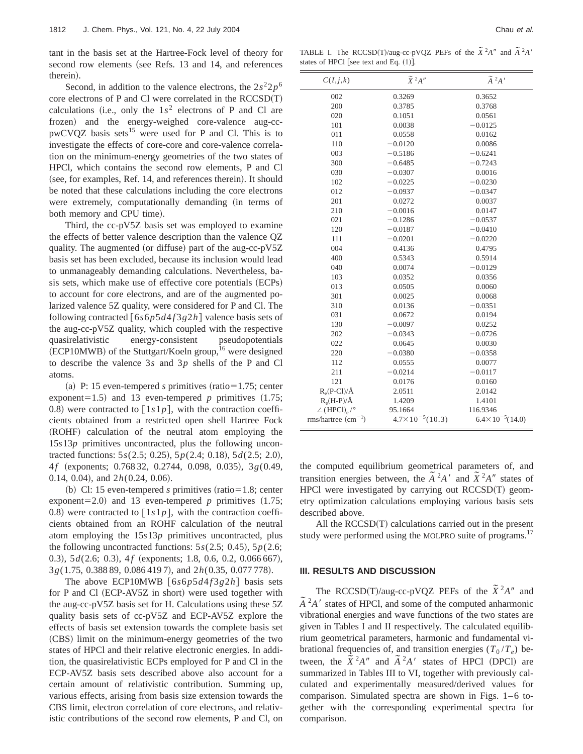tant in the basis set at the Hartree-Fock level of theory for second row elements (see Refs. 13 and 14, and references therein).

Second, in addition to the valence electrons, the  $2s^22p^6$ core electrons of  $P$  and  $Cl$  were correlated in the  $RCCSD(T)$ calculations (i.e., only the  $1s^2$  electrons of P and Cl are frozen) and the energy-weighed core-valence aug-cc $pwCVQZ$  basis sets<sup>15</sup> were used for P and Cl. This is to investigate the effects of core-core and core-valence correlation on the minimum-energy geometries of the two states of HPCl, which contains the second row elements, P and Cl (see, for examples, Ref. 14, and references therein). It should be noted that these calculations including the core electrons were extremely, computationally demanding (in terms of both memory and CPU time).

Third, the cc-pV5Z basis set was employed to examine the effects of better valence description than the valence QZ quality. The augmented (or diffuse) part of the aug-cc-pV5Z basis set has been excluded, because its inclusion would lead to unmanageably demanding calculations. Nevertheless, basis sets, which make use of effective core potentials (ECPs) to account for core electrons, and are of the augmented polarized valence 5Z quality, were considered for P and Cl. The following contracted  $[6s6p5d4f3g2h]$  valence basis sets of the aug-cc-pV5Z quality, which coupled with the respective quasirelativistic energy-consistent pseudopotentials  $~(ECP10MWB)$  of the Stuttgart/Koeln group,<sup>16</sup> were designed to describe the valence 3*s* and 3*p* shells of the P and Cl atoms.

(a) P: 15 even-tempered *s* primitives (ratio=1.75; center exponent=1.5) and 13 even-tempered *p* primitives  $(1.75;$ 0.8) were contracted to  $\lceil 1s1p \rceil$ , with the contraction coefficients obtained from a restricted open shell Hartree Fock (ROHF) calculation of the neutral atom employing the 15*s*13*p* primitives uncontracted, plus the following uncontracted functions: 5*s*(2.5; 0.25), 5*p*(2.4; 0.18), 5*d*(2.5; 2.0), 4f (exponents; 0.768 32, 0.2744, 0.098, 0.035), 3*g*(0.49, 0.14, 0.04), and  $2h(0.24, 0.06)$ .

(b) Cl: 15 even-tempered *s* primitives (ratio=1.8; center exponent=2.0) and 13 even-tempered *p* primitives  $(1.75;$ 0.8) were contracted to  $\lceil 1s1p \rceil$ , with the contraction coefficients obtained from an ROHF calculation of the neutral atom employing the 15*s*13*p* primitives uncontracted, plus the following uncontracted functions:  $5s(2.5; 0.45)$ ,  $5p(2.6;$ 0.3), 5*d*(2.6; 0.3), 4*f* (exponents; 1.8, 0.6, 0.2, 0.066 667), 3*g*(1.75, 0.388 89, 0.086 419 7), and 2*h*(0.35, 0.077 778).

The above ECP10MWB  $[6s6p5d4f3g2h]$  basis sets for P and Cl  $(ECP-AV5Z$  in short) were used together with the aug-cc-pV5Z basis set for H. Calculations using these 5Z quality basis sets of cc-pV5Z and ECP-AV5Z explore the effects of basis set extension towards the complete basis set (CBS) limit on the minimum-energy geometries of the two states of HPCl and their relative electronic energies. In addition, the quasirelativistic ECPs employed for P and Cl in the ECP-AV5Z basis sets described above also account for a certain amount of relativistic contribution. Summing up, various effects, arising from basis size extension towards the CBS limit, electron correlation of core electrons, and relativistic contributions of the second row elements, P and Cl, on

TABLE I. The RCCSD(T)/aug-cc-pVQZ PEFs of the  $\tilde{X}^2A''$  and  $\tilde{A}^2A'$ states of HPCl [see text and Eq.  $(1)$ ].

| C(I,j,k)                                    | $\widetilde{X}$ <sup>2</sup> A" | $\tilde{A}~^2\!A$ '         |
|---------------------------------------------|---------------------------------|-----------------------------|
| 002                                         | 0.3269                          | 0.3652                      |
| 200                                         | 0.3785                          | 0.3768                      |
| 020                                         | 0.1051                          | 0.0561                      |
| 101                                         | 0.0038                          | $-0.0125$                   |
| 011                                         | 0.0558                          | 0.0162                      |
| 110                                         | $-0.0120$                       | 0.0086                      |
| 003                                         | $-0.5186$                       | $-0.6241$                   |
| 300                                         | $-0.6485$                       | $-0.7243$                   |
| 030                                         | $-0.0307$                       | 0.0016                      |
| 102                                         | $-0.0225$                       | $-0.0230$                   |
| 012                                         | $-0.0937$                       | $-0.0347$                   |
| 201                                         | 0.0272                          | 0.0037                      |
| 210                                         | $-0.0016$                       | 0.0147                      |
| 021                                         | $-0.1286$                       | $-0.0537$                   |
| 120                                         | $-0.0187$                       | $-0.0410$                   |
| 111                                         | $-0.0201$                       | $-0.0220$                   |
| 004                                         | 0.4136                          | 0.4795                      |
| 400                                         | 0.5343                          | 0.5914                      |
| 040                                         | 0.0074                          | $-0.0129$                   |
| 103                                         | 0.0352                          | 0.0356                      |
| 013                                         | 0.0505                          | 0.0060                      |
| 301                                         | 0.0025                          | 0.0068                      |
| 310                                         | 0.0136                          | $-0.0351$                   |
| 031                                         | 0.0672                          | 0.0194                      |
| 130                                         | $-0.0097$                       | 0.0252                      |
| 202                                         | $-0.0343$                       | $-0.0726$                   |
| 022                                         | 0.0645                          | 0.0030                      |
| 220                                         | $-0.0380$                       | $-0.0358$                   |
| 112                                         | 0.0555                          | 0.0077                      |
| 211                                         | $-0.0214$                       | $-0.0117$                   |
| 121                                         | 0.0176                          | 0.0160                      |
| $R_e(P-Cl)/\AA$                             | 2.0511                          | 2.0142                      |
| $R_e(H-P)/\AA$                              | 1.4209                          | 1.4101                      |
| $\angle$ (HPCl) <sub>e</sub> / <sup>o</sup> | 95.1664                         | 116.9346                    |
| $rms/hartree (cm-1)$                        | $4.7 \times 10^{-5} (10.3)$     | $6.4 \times 10^{-5}$ (14.0) |

the computed equilibrium geometrical parameters of, and transition energies between, the  $\tilde{A}^2 A^{\prime}$  and  $\tilde{X}^2 A^{\prime\prime}$  states of HPCl were investigated by carrying out  $RCCSD(T)$  geometry optimization calculations employing various basis sets described above.

All the  $RCCSD(T)$  calculations carried out in the present study were performed using the MOLPRO suite of programs.<sup>17</sup>

## **III. RESULTS AND DISCUSSION**

The RCCSD(T)/aug-cc-pVQZ PEFs of the  $\tilde{X}^2A''$  and  $\tilde{A}^2 A'$  states of HPCl, and some of the computed anharmonic vibrational energies and wave functions of the two states are given in Tables I and II respectively. The calculated equilibrium geometrical parameters, harmonic and fundamental vibrational frequencies of, and transition energies  $(T_0/T_e)$  between, the  $\tilde{X}^2 A''$  and  $\tilde{A}^2 A'$  states of HPCl (DPCl) are summarized in Tables III to VI, together with previously calculated and experimentally measured/derived values for comparison. Simulated spectra are shown in Figs. 1–6 together with the corresponding experimental spectra for comparison.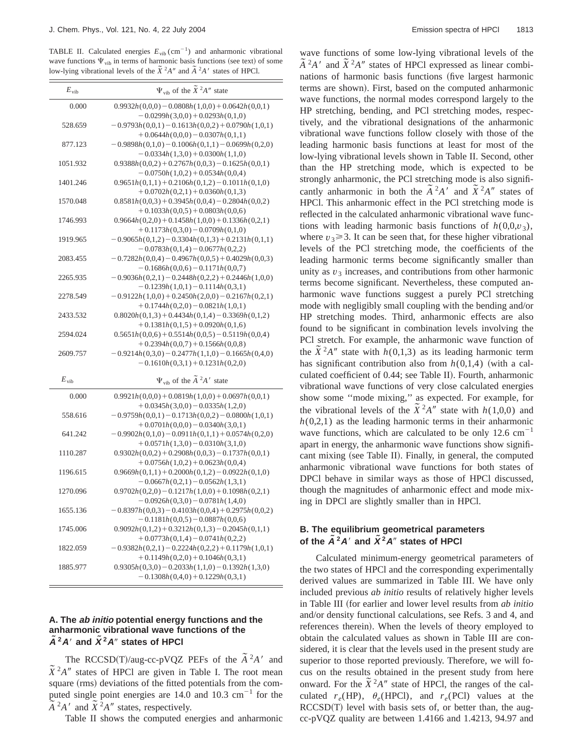TABLE II. Calculated energies  $E_{vib}$  (cm<sup>-1</sup>) and anharmonic vibrational wave functions  $\Psi_{vib}$  in terms of harmonic basis functions (see text) of some low-lying vibrational levels of the  $\tilde{X}^2 A''$  and  $\tilde{A}^2 A'$  states of HPCl.

| $E_{\mathrm{vib}}$ | $\Psi_{\text{vib}}$ of the $\tilde{X}^2 A''$ state                                        |
|--------------------|-------------------------------------------------------------------------------------------|
| 0.000              | $0.9932h(0,0,0) - 0.0808h(1,0,0) + 0.0642h(0,0,1)$<br>$-0.0299h(3,0,0) + 0.0293h(0,1,0)$  |
| 528.659            | $-0.9793h(0,0,1) - 0.1613h(0,0,2) + 0.0790h(1,0,1)$<br>$+0.0644h(0,0,0)-0.0307h(0,1,1)$   |
| 877.123            | $-0.9898h(0,1,0) - 0.1006h(0,1,1) - 0.0699h(0,2,0)$<br>$-0.0334h(1,3,0) + 0.0300h(1,1,0)$ |
| 1051.932           | $0.9388h(0,0,2) + 0.2767h(0,0,3) - 0.1625h(0,0,1)$<br>$-0.0750h(1,0,2) + 0.0534h(0,0,4)$  |
| 1401.246           | $0.9651h(0,1,1) + 0.2106h(0,1,2) - 0.1011h(0,1,0)$<br>$+0.0702h(0,2,1)+0.0360h(0,1,3)$    |
| 1570.048           | $0.8581h(0,0,3) + 0.3945h(0,0,4) - 0.2804h(0,0,2)$<br>$+0.1033h(0,0,5) + 0.0803h(0,0,6)$  |
| 1746.993           | $0.9664h(0,2,0) + 0.1458h(1,0,0) + 0.1336h(0,2,1)$<br>$+0.1173h(0,3,0)-0.0709h(0,1,0)$    |
| 1919.965           | $-0.9065h(0,1,2) - 0.3304h(0,1,3) + 0.2131h(0,1,1)$<br>$-0.0783h(0,1,4)-0.0677h(0,2,2)$   |
| 2083.455           | $-0.7282h(0,0,4) - 0.4967h(0,0,5) + 0.4029h(0,0,3)$<br>$-0.1686h(0,0,6) - 0.1171h(0,0,7)$ |
| 2265.935           | $-0.9036h(0,2,1) - 0.2448h(0,2,2) + 0.2446h(1,0,0)$<br>$-0.1239h(1,0,1) - 0.1114h(0,3,1)$ |
| 2278.549           | $-0.9122h(1,0,0) + 0.2450h(2,0,0) - 0.2167h(0,2,1)$<br>$+0.1744h(0,2,0)-0.0821h(1,0,1)$   |
| 2433.532           | $0.8020h(0,1,3) + 0.4434h(0,1,4) - 0.3369h(0,1,2)$<br>$+0.1381h(0,1,5) + 0.0920h(0,1,6)$  |
| 2594.024           | $0.5651h(0,0,6) + 0.5514h(0,0,5) - 0.5119h(0,0,4)$<br>$+0.2394h(0,0,7) + 0.1566h(0,0,8)$  |
| 2609.757           | $-0.9214h(0,3,0) - 0.2477h(1,1,0) - 0.1665h(0,4,0)$<br>$-0.1610h(0,3,1) + 0.1231h(0,2,0)$ |
| $E_{\rm vib}$      | $\Psi_{\text{vib}}$ of the $\tilde{A}^2 A'$ state                                         |
| 0.000              | $0.9921h(0,0,0) + 0.0819h(1,0,0) + 0.0697h(0,0,1)$<br>$+0.0345h(3,0,0)-0.0335h(1,2,0)$    |
| 558.616            | $-0.9759h(0,0,1) - 0.1713h(0,0,2) - 0.0800h(1,0,1)$<br>$+0.0701h(0,0,0)-0.0340h(3,0,1)$   |
| 641.242            | $-0.9902h(0,1,0) - 0.0911h(0,1,1) + 0.0574h(0,2,0)$<br>$+0.0571h(1,3,0)-0.0310h(3,1,0)$   |
| 1110.287           | $0.9302h(0,0,2) + 0.2908h(0,0,3) - 0.1737h(0,0,1)$<br>$+0.0756h(1,0,2)+0.0623h(0,0,4)$    |
| 1196.615           | $0.9669h(0,1,1) + 0.2000h(0,1,2) - 0.0922h(0,1,0)$<br>$-0.0667h(0,2,1) - 0.0562h(1,3,1)$  |
| 1270.096           | $0.9702h(0,2,0) - 0.1217h(1,0,0) + 0.1098h(0,2,1)$<br>$-0.0926h(0,3,0) - 0.0781h(1,4,0)$  |
| 1655.136           | $-0.8397h(0,0,3) - 0.4103h(0,0,4) + 0.2975h(0,0,2)$<br>$-0.1181h(0,0,5) - 0.0887h(0,0,6)$ |
| 1745.006           | $0.9092h(0,1,2) + 0.3212h(0,1,3) - 0.2045h(0,1,1)$<br>$+0.0773h(0,1,4)-0.0741h(0,2,2)$    |
| 1822.059           | $-0.9382h(0,2,1) - 0.2224h(0,2,2) + 0.1179h(1,0,1)$<br>$+0.1149h(0,2,0)+0.1046h(0,3,1)$   |
| 1885.977           | $0.9305h(0,3,0) - 0.2033h(1,1,0) - 0.1392h(1,3,0)$<br>$-0.1308h(0,4,0) + 0.1229h(0,3,1)$  |

## **A. The ab initio potential energy functions and the anharmonic vibrational wave functions of the**  $A^2A'$  and  $X^2A''$  states of HPCI

The RCCSD(T)/aug-cc-pVQZ PEFs of the  $\tilde{A}^2A'$  and  $\tilde{X}^2 A''$  states of HPCl are given in Table I. The root mean square (rms) deviations of the fitted potentials from the computed single point energies are  $14.0$  and  $10.3$  cm<sup>-1</sup> for the  $\tilde{A}^2 A'$  and  $\tilde{X}^2 A''$  states, respectively.

Table II shows the computed energies and anharmonic

wave functions of some low-lying vibrational levels of the  $\tilde{A}^2 A'$  and  $\tilde{X}^2 A''$  states of HPCl expressed as linear combinations of harmonic basis functions (five largest harmonic terms are shown). First, based on the computed anharmonic wave functions, the normal modes correspond largely to the HP stretching, bending, and PCl stretching modes, respectively, and the vibrational designations of the anharmonic vibrational wave functions follow closely with those of the leading harmonic basis functions at least for most of the low-lying vibrational levels shown in Table II. Second, other than the HP stretching mode, which is expected to be strongly anharmonic, the PCl stretching mode is also significantly anharmonic in both the  $\tilde{A}^2 A'$  and  $\tilde{X}^2 A''$  states of HPCl. This anharmonic effect in the PCl stretching mode is reflected in the calculated anharmonic vibrational wave functions with leading harmonic basis functions of  $h(0,0,v_3)$ , where  $v_3 \geq 3$ . It can be seen that, for these higher vibrational levels of the PCl stretching mode, the coefficients of the leading harmonic terms become significantly smaller than unity as  $v_3$  increases, and contributions from other harmonic terms become significant. Nevertheless, these computed anharmonic wave functions suggest a purely PCl stretching mode with negligibly small coupling with the bending and/or HP stretching modes. Third, anharmonic effects are also found to be significant in combination levels involving the PCl stretch. For example, the anharmonic wave function of the  $\tilde{X}^2 A''$  state with *h*(0,1,3) as its leading harmonic term has significant contribution also from  $h(0,1,4)$  (with a calculated coefficient of 0.44; see Table II). Fourth, anharmonic vibrational wave functions of very close calculated energies show some ''mode mixing,'' as expected. For example, for the vibrational levels of the  $\tilde{X}^2 A''$  state with *h*(1,0,0) and  $h(0,2,1)$  as the leading harmonic terms in their anharmonic wave functions, which are calculated to be only  $12.6 \text{ cm}^{-1}$ apart in energy, the anharmonic wave functions show significant mixing (see Table II). Finally, in general, the computed anharmonic vibrational wave functions for both states of DPCl behave in similar ways as those of HPCl discussed, though the magnitudes of anharmonic effect and mode mixing in DPCl are slightly smaller than in HPCl.

## **B. The equilibrium geometrical parameters of the**  $\mathbf{A}^2 \mathbf{A}$  **and**  $\mathbf{X}^2 \mathbf{A}$  **states of HPCI**

Calculated minimum-energy geometrical parameters of the two states of HPCl and the corresponding experimentally derived values are summarized in Table III. We have only included previous *ab initio* results of relatively higher levels in Table III (for earlier and lower level results from *ab initio* and/or density functional calculations, see Refs. 3 and 4, and references therein). When the levels of theory employed to obtain the calculated values as shown in Table III are considered, it is clear that the levels used in the present study are superior to those reported previously. Therefore, we will focus on the results obtained in the present study from here onward. For the  $\tilde{X}^2 A''$  state of HPCl, the ranges of the calculated  $r_e(HP)$ ,  $\theta_e(HPCl)$ , and  $r_e(PCl)$  values at the  $RCCSD(T)$  level with basis sets of, or better than, the augcc-pVQZ quality are between 1.4166 and 1.4213, 94.97 and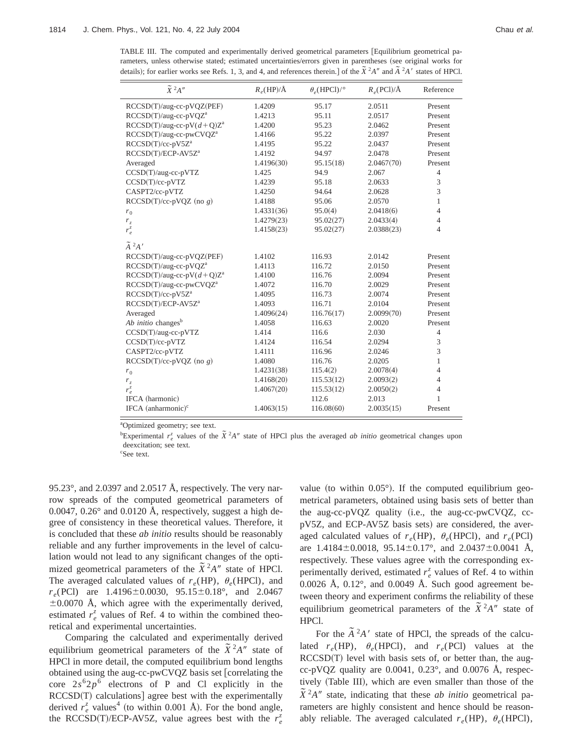TABLE III. The computed and experimentally derived geometrical parameters [Equilibrium geometrical parameters, unless otherwise stated; estimated uncertainties/errors given in parentheses (see original works for details); for earlier works see Refs. 1, 3, and 4, and references therein.] of the  $\tilde{\chi}^2 A''$  and  $\tilde{A}^2 A''$  states of HPCl.

| $\widetilde{X}~^2\!A''$             | $R_e(HP)/A$ | $\theta_e$ (HPCl)/° | $R_e$ (PCI)/Å | Reference      |
|-------------------------------------|-------------|---------------------|---------------|----------------|
| RCCSD(T)/aug-cc-pVQZ(PEF)           | 1.4209      | 95.17               | 2.0511        | Present        |
| RCCSD(T)/aug-cc-pVQZ <sup>a</sup>   | 1.4213      | 95.11               | 2.0517        | Present        |
| $RCCSD(T)/aug-cc-pV(d+Q)Za$         | 1.4200      | 95.23               | 2.0462        | Present        |
| RCCSD(T)/aug-cc-pwCVQZ <sup>a</sup> | 1.4166      | 95.22               | 2.0397        | Present        |
| $RCCSD(T)/cc-pV5Z^a$                | 1.4195      | 95.22               | 2.0437        | Present        |
| RCCSD(T)/ECP-AV5Z <sup>a</sup>      | 1.4192      | 94.97               | 2.0478        | Present        |
| Averaged                            | 1.4196(30)  | 95.15(18)           | 2.0467(70)    | Present        |
| CCSD(T)/aug-cc-pVTZ                 | 1.425       | 94.9                | 2.067         | $\overline{4}$ |
| $CCSD(T)/cc-pVTZ$                   | 1.4239      | 95.18               | 2.0633        | 3              |
| CASPT2/cc-pVTZ                      | 1.4250      | 94.64               | 2.0628        | 3              |
| $RCCSD(T)/cc-pVQZ$ (no g)           | 1.4188      | 95.06               | 2.0570        | $\mathbf{1}$   |
| $r_0$                               | 1.4331(36)  | 95.0(4)             | 2.0418(6)     | $\overline{4}$ |
| r <sub>z</sub>                      | 1.4279(23)  | 95.02(27)           | 2.0433(4)     | $\overline{4}$ |
| $r_e^z$                             | 1.4158(23)  | 95.02(27)           | 2.0388(23)    | $\overline{4}$ |
| $\tilde{A}^2 A'$                    |             |                     |               |                |
| RCCSD(T)/aug-cc-pVQZ(PEF)           | 1.4102      | 116.93              | 2.0142        | Present        |
| RCCSD(T)/aug-cc-pVQZ <sup>a</sup>   | 1.4113      | 116.72              | 2.0150        | Present        |
| $RCCSD(T)/aug-cc-pV(d+Q)Za$         | 1.4100      | 116.76              | 2.0094        | Present        |
| RCCSD(T)/aug-cc-pwCVQZ <sup>a</sup> | 1.4072      | 116.70              | 2.0029        | Present        |
| $RCCSD(T)/cc-pV5Za$                 | 1.4095      | 116.73              | 2.0074        | Present        |
| RCCSD(T)/ECP-AV5Z <sup>a</sup>      | 1.4093      | 116.71              | 2.0104        | Present        |
| Averaged                            | 1.4096(24)  | 116.76(17)          | 2.0099(70)    | Present        |
| Ab initio changes <sup>b</sup>      | 1.4058      | 116.63              | 2.0020        | Present        |
| CCSD(T)/aug-cc-pVTZ                 | 1.414       | 116.6               | 2.030         | $\overline{4}$ |
| $CCSD(T)/cc-pVTZ$                   | 1.4124      | 116.54              | 2.0294        | 3              |
| CASPT2/cc-pVTZ                      | 1.4111      | 116.96              | 2.0246        | 3              |
| $RCCSD(T)/cc-pVQZ$ (no g)           | 1.4080      | 116.76              | 2.0205        | 1              |
| $r_0$                               | 1.4231(38)  | 115.4(2)            | 2.0078(4)     | $\overline{4}$ |
| $r_z$                               | 1.4168(20)  | 115.53(12)          | 2.0093(2)     | $\overline{4}$ |
| $r_e^{\bar{z}}$                     | 1.4067(20)  | 115.53(12)          | 2.0050(2)     | $\overline{4}$ |
| IFCA (harmonic)                     |             | 112.6               | 2.013         | $\mathbf{1}$   |
| IFCA (anharmonic) $\rm^{c}$         | 1.4063(15)  | 116.08(60)          | 2.0035(15)    | Present        |

a Optimized geometry; see text.

b Experimental  $r_e^z$  values of the  $\tilde{X}^2 A''$  state of HPCl plus the averaged *ab initio* geometrical changes upon deexcitation; see text.

c See text.

95.23°, and 2.0397 and 2.0517 Å, respectively. The very narrow spreads of the computed geometrical parameters of 0.0047, 0.26° and 0.0120 Å, respectively, suggest a high degree of consistency in these theoretical values. Therefore, it is concluded that these *ab initio* results should be reasonably reliable and any further improvements in the level of calculation would not lead to any significant changes of the optimized geometrical parameters of the  $\tilde{X}^2A''$  state of HPCl. The averaged calculated values of  $r_e(HP)$ ,  $\theta_e(HPCI)$ , and  $r_e(PCl)$  are 1.4196 $\pm$ 0.0030, 95.15 $\pm$ 0.18°, and 2.0467  $\pm 0.0070$  Å, which agree with the experimentally derived, estimated  $r_e^z$  values of Ref. 4 to within the combined theoretical and experimental uncertainties.

Comparing the calculated and experimentally derived equilibrium geometrical parameters of the  $\tilde{X}^2 A''$  state of HPCl in more detail, the computed equilibrium bond lengths obtained using the aug-cc-pwCVQZ basis set [correlating the core  $2s^62p^6$  electrons of P and Cl explicitly in the  $RCCSD(T)$  calculations] agree best with the experimentally derived  $r_e^z$  values<sup>4</sup> (to within 0.001 Å). For the bond angle, the RCCSD(T)/ECP-AV5Z, value agrees best with the  $r_e^z$ 

value (to within  $0.05^{\circ}$ ). If the computed equilibrium geometrical parameters, obtained using basis sets of better than the aug-cc-pVQZ quality (i.e., the aug-cc-pwCVQZ, ccpV5Z, and ECP-AV5Z basis sets) are considered, the averaged calculated values of  $r_e(HP)$ ,  $\theta_e(HPCl)$ , and  $r_e(PCl)$ are  $1.4184 \pm 0.0018$ ,  $95.14 \pm 0.17$ °, and  $2.0437 \pm 0.0041$  Å, respectively. These values agree with the corresponding experimentally derived, estimated  $r_e^z$  values of Ref. 4 to within  $0.0026$  Å,  $0.12^{\circ}$ , and  $0.0049$  Å. Such good agreement between theory and experiment confirms the reliability of these equilibrium geometrical parameters of the  $\tilde{X}^2 A''$  state of HPCl.

For the  $\tilde{A}^2 A'$  state of HPCl, the spreads of the calculated  $r_e(HP)$ ,  $\theta_e(HPCl)$ , and  $r_e(PCl)$  values at the  $RCCSD(T)$  level with basis sets of, or better than, the augcc-pVQZ quality are 0.0041, 0.23°, and 0.0076 Å, respectively (Table III), which are even smaller than those of the  $\tilde{X}^2 A''$  state, indicating that these *ab initio* geometrical parameters are highly consistent and hence should be reasonably reliable. The averaged calculated  $r_e$ (HP),  $\theta_e$ (HPCl),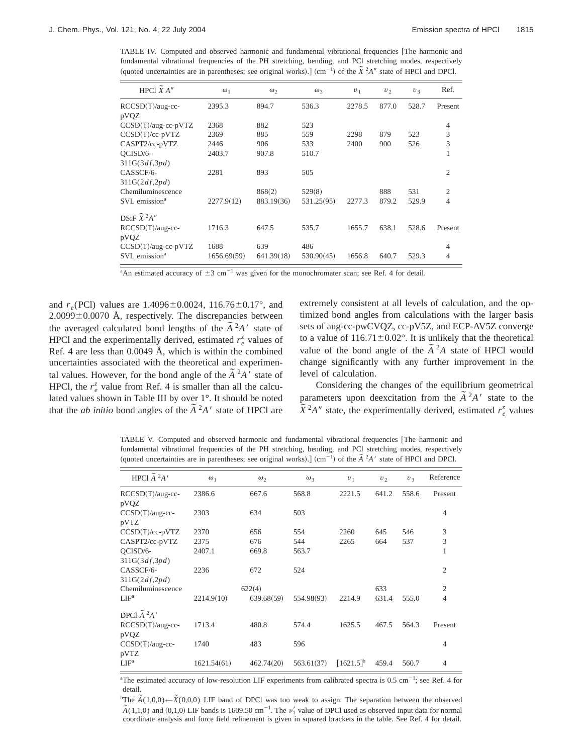TABLE IV. Computed and observed harmonic and fundamental vibrational frequencies [The harmonic and fundamental vibrational frequencies of the PH stretching, bending, and PCl stretching modes, respectively  $q$ uoted uncertainties are in parentheses; see original works).]  $\text{cm}^{-1}$  of the  $\tilde{X}^2A''$  state of HPCl and DPCl.

| HPCl $X A''$                     | $\omega_1$  | $\omega_2$ | $\omega_3$ | $v_1$  | v <sub>2</sub> | $U_3$ | Ref.           |
|----------------------------------|-------------|------------|------------|--------|----------------|-------|----------------|
| RCCSD(T)/aug-cc-                 | 2395.3      | 894.7      | 536.3      | 2278.5 | 877.0          | 528.7 | Present        |
| pVQZ                             |             |            |            |        |                |       |                |
| $CCSD(T)/aug-cc-pVTZ$            | 2368        | 882        | 523        |        |                |       | 4              |
| $CCSD(T)/cc-pVTZ$                | 2369        | 885        | 559        | 2298   | 879            | 523   | 3              |
| CASPT2/cc-pVTZ                   | 2446        | 906        | 533        | 2400   | 900            | 526   | 3              |
| OCISD/6-                         | 2403.7      | 907.8      | 510.7      |        |                |       | 1              |
| 311G(3df,3pd)                    |             |            |            |        |                |       |                |
| CASSCF/6-                        | 2281        | 893        | 505        |        |                |       | $\overline{2}$ |
| 311G(2df,2pd)                    |             |            |            |        |                |       |                |
| Chemiluminescence                |             | 868(2)     | 529(8)     |        | 888            | 531   | $\mathfrak{2}$ |
| SVL emission <sup>a</sup>        | 2277.9(12)  | 883.19(36) | 531.25(95) | 2277.3 | 879.2          | 529.9 | 4              |
| DSiF $\tilde{X}$ <sup>2</sup> A" |             |            |            |        |                |       |                |
| RCCSD(T)/aug-cc-<br>pVQZ         | 1716.3      | 647.5      | 535.7      | 1655.7 | 638.1          | 528.6 | Present        |
| CCSD(T)/aug-cc-pVTZ              | 1688        | 639        | 486        |        |                |       | $\overline{4}$ |
| SVL emission <sup>a</sup>        | 1656.69(59) | 641.39(18) | 530.90(45) | 1656.8 | 640.7          | 529.3 | 4              |

<sup>a</sup>An estimated accuracy of  $\pm 3$  cm<sup>-1</sup> was given for the monochromater scan; see Ref. 4 for detail.

and  $r_e$ (PCl) values are 1.4096 $\pm$ 0.0024, 116.76 $\pm$ 0.17°, and  $2.0099\pm0.0070$  Å, respectively. The discrepancies between the averaged calculated bond lengths of the  $\tilde{A}^2A'$  state of HPCl and the experimentally derived, estimated  $r_e^z$  values of Ref. 4 are less than 0.0049 Å, which is within the combined uncertainties associated with the theoretical and experimental values. However, for the bond angle of the  $\tilde{A}^2A'$  state of HPCl, the  $r_e^z$  value from Ref. 4 is smaller than all the calculated values shown in Table III by over 1°. It should be noted that the *ab initio* bond angles of the  $\tilde{A}^2A'$  state of HPCl are extremely consistent at all levels of calculation, and the optimized bond angles from calculations with the larger basis sets of aug-cc-pwCVQZ, cc-pV5Z, and ECP-AV5Z converge to a value of  $116.71 \pm 0.02^{\circ}$ . It is unlikely that the theoretical value of the bond angle of the  $\tilde{A}^2A$  state of HPCl would change significantly with any further improvement in the level of calculation.

Considering the changes of the equilibrium geometrical parameters upon deexcitation from the  $\tilde{A}^2A'$  state to the  $\widetilde{X}^2 A''$  state, the experimentally derived, estimated  $r_e^z$  values

TABLE V. Computed and observed harmonic and fundamental vibrational frequencies [The harmonic and fundamental vibrational frequencies of the PH stretching, bending, and PCl stretching modes, respectively  $q$ undamental violational inequencies of the 111 stretching, original works).  $\text{Com}^{-1}$  of the  $\tilde{A}^2A'$  state of HPCl and DPCl.

| HPCl $\tilde{A}^2A'$              | $\omega_1$  | $\omega_{2}$ | $\omega_{3}$ | $U_1$          | $v_2$ | $U_3$ | Reference      |
|-----------------------------------|-------------|--------------|--------------|----------------|-------|-------|----------------|
| $RCCSD(T)/aug-cc-$<br>pVQZ        | 2386.6      | 667.6        | 568.8        | 2221.5         | 641.2 | 558.6 | Present        |
| $CCSD(T)/aug-cc-$<br>pVTZ         | 2303        | 634          | 503          |                |       |       | $\overline{4}$ |
| $CCSD(T)/cc-pVTZ$                 | 2370        | 656          | 554          | 2260           | 645   | 546   | 3              |
| CASPT2/cc-pVTZ                    | 2375        | 676          | 544          | 2265           | 664   | 537   | 3              |
| QCISD/6-<br>311G(3df,3pd)         | 2407.1      | 669.8        | 563.7        |                |       |       | 1              |
| CASSCF/6-<br>311G(2df,2pd)        | 2236        | 672          | 524          |                |       |       | $\mathfrak{2}$ |
| Chemiluminescence                 |             | 622(4)       |              |                | 633   |       | $\mathfrak{2}$ |
| ${\rm LIF^a}$                     | 2214.9(10)  | 639.68(59)   | 554.98(93)   | 2214.9         | 631.4 | 555.0 | $\overline{4}$ |
| DPCl $\widetilde{A}$ $^{2}$ A $'$ |             |              |              |                |       |       |                |
| $RCCSD(T)/aug-cc-$<br>pVQZ        | 1713.4      | 480.8        | 574.4        | 1625.5         | 467.5 | 564.3 | Present        |
| $CCSD(T)/aug-cc-$<br>pVTZ         | 1740        | 483          | 596          |                |       |       | $\overline{4}$ |
| ${\rm LIF^a}$                     | 1621.54(61) | 462.74(20)   | 563.61(37)   | $[1621.5]^{b}$ | 459.4 | 560.7 | $\overline{4}$ |

<sup>a</sup>The estimated accuracy of low-resolution LIF experiments from calibrated spectra is  $0.5 \text{ cm}^{-1}$ ; see Ref. 4 for detail.

 ${}^{\text{b}}\text{The }\widetilde{A}(1,0,0) \leftarrow \widetilde{X}(0,0,0)$  LIF band of DPCl was too weak to assign. The separation between the observed  $\tilde{A}(1,1,0)$  and  $(0,1,0)$  LIF bands is 1609.50 cm<sup>-1</sup>. The  $\nu'_1$  value of DPCl used as observed input data for normal  $\tilde{A}(1,1,0)$  and  $(0,1,0)$  LIF bands is 1609.50 cm<sup>-1</sup>. The  $\nu'_1$  value of DPCl used as observed coordinate analysis and force field refinement is given in squared brackets in the table. See Ref. 4 for detail.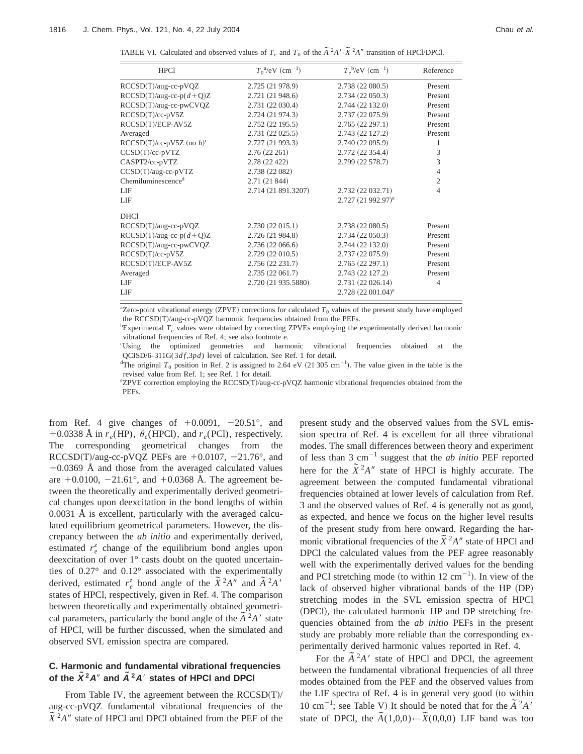| TABLE VI. Calculated and observed values of $T_e$ and $T_0$ of the $\tilde{A}^2A' \tilde{X}^2A''$ transition of HPCl/DPCl. |
|----------------------------------------------------------------------------------------------------------------------------|
|----------------------------------------------------------------------------------------------------------------------------|

| <b>HPC1</b>                             | $T_0^{\ a}/eV$ (cm <sup>-1</sup> ) | $T_e^{\ b}/eV$ (cm <sup>-1</sup> ) | Reference      |
|-----------------------------------------|------------------------------------|------------------------------------|----------------|
| $RCCSD(T)/aug-cc-pVQZ$                  | 2.725 (21 978.9)                   | 2.738 (22 080.5)                   | Present        |
| $RCCSD(T)/aug-cc-p(d+Q)Z$               | 2.721 (21 948.6)                   | 2.734 (22 050.3)                   | Present        |
| RCCSD(T)/aug-cc-pwCVQZ                  | 2.731 (22 030.4)                   | 2.744 (22 132.0)                   | Present        |
| RCCSD(T)/cc-pV5Z                        | 2.724 (21 974.3)                   | 2.737 (22 075.9)                   | Present        |
| RCCSD(T)/ECP-AV5Z                       | 2.752(22195.5)                     | 2.765(22297.1)                     | Present        |
| Averaged                                | 2.731(22025.5)                     | 2.743 (22 127.2)                   | Present        |
| RCCSD(T)/cc-pV5Z (no $h$ ) <sup>c</sup> | 2.727 (21 993.3)                   | 2.740 (22 095.9)                   | 1              |
| $CCSD(T)/cc-pVTZ$                       | 2.76(22261)                        | 2.772 (22 354.4)                   | 3              |
| CASPT2/cc-pVTZ                          | 2.78 (22 422)                      | 2.799 (22 578.7)                   | 3              |
| $CCSD(T)/aug-cc-pVTZ$                   | 2.738 (22 082)                     |                                    | 4              |
| Chemiluminescence <sup>d</sup>          | 2.71(21844)                        |                                    | $\overline{2}$ |
| LIF                                     | 2.714 (21 891.3207)                | 2.732 (22 032.71)                  | 4              |
| LIF                                     |                                    | $2.727(21992.97)^e$                |                |
| <b>DHCI</b>                             |                                    |                                    |                |
| $RCCSD(T)/aug-cc-pVQZ$                  | 2.730(22015.1)                     | 2.738 (22 080.5)                   | Present        |
| $RCCSD(T)/aug-cc-p(d+Q)Z$               | 2.726 (21 984.8)                   | 2.734 (22 050.3)                   | Present        |
| RCCSD(T)/aug-cc-pwCVQZ                  | 2.736 (22 066.6)                   | 2.744 (22 132.0)                   | Present        |
| RCCSD(T)/cc-pV5Z                        | 2.729 (22 010.5)                   | 2.737 (22 075.9)                   | Present        |
| RCCSD(T)/ECP-AV5Z                       | 2.756 (22 231.7)                   | 2.765(22297.1)                     | Present        |
| Averaged                                | 2.735(22061.7)                     | 2.743 (22 127.2)                   | Present        |
| LIF                                     | 2.720 (21 935.5880)                | 2.731 (22 026.14)                  | $\overline{4}$ |
| LIF                                     |                                    | $2.728(22001.04)^e$                |                |

<sup>a</sup>Zero-point vibrational energy (ZPVE) corrections for calculated  $T_0$  values of the present study have employed the RCCSD(T)/aug-cc-pVQZ harmonic frequencies obtained from the PEFs.

<sup>b</sup>Experimental *T<sub>e</sub>* values were obtained by correcting ZPVEs employing the experimentally derived harmonic vibrational frequencies of Ref. 4; see also footnote e.

c Using the optimized geometries and harmonic vibrational frequencies obtained at the QCISD/6-311G(3df,3pd) level of calculation. See Ref. 1 for detail.

<sup>d</sup>The original  $T_0$  position in Ref. 2 is assigned to 2.64 eV (21 305 cm<sup>-1</sup>). The value given in the table is the revised value from Ref. 1; see Ref. 1 for detail.

ezPVE correction employing the RCCSD(T)/aug-cc-pVQZ harmonic vibrational frequencies obtained from the PEFs.

from Ref. 4 give changes of  $+0.0091$ ,  $-20.51^\circ$ , and +0.0338 Å in  $r_e$ (HP),  $\theta_e$ (HPCl), and  $r_e$ (PCl), respectively. The corresponding geometrical changes from the RCCSD(T)/aug-cc-pVQZ PEFs are  $+0.0107$ ,  $-21.76^{\circ}$ , and  $+0.0369$  Å and those from the averaged calculated values are  $+0.0100, -21.61^{\circ}$ , and  $+0.0368$  Å. The agreement between the theoretically and experimentally derived geometrical changes upon deexcitation in the bond lengths of within 0.0031 Å is excellent, particularly with the averaged calculated equilibrium geometrical parameters. However, the discrepancy between the *ab initio* and experimentally derived, estimated  $r_e^z$  change of the equilibrium bond angles upon deexcitation of over 1° casts doubt on the quoted uncertainties of 0.27° and 0.12° associated with the experimentally derived, estimated  $r_e^z$  bond angle of the  $\tilde{X}^2 A''$  and  $\tilde{A}^2 A'$ states of HPCl, respectively, given in Ref. 4. The comparison between theoretically and experimentally obtained geometrical parameters, particularly the bond angle of the  $\tilde{A}^2A'$  state of HPCl, will be further discussed, when the simulated and observed SVL emission spectra are compared.

## **C. Harmonic and fundamental vibrational frequencies** of the  $\tilde{X}^2 A''$  and  $\tilde{A}^2 A'$  states of HPCI and DPCI

From Table IV, the agreement between the  $RCCSD(T)/T$ aug-cc-pVQZ fundamental vibrational frequencies of the  $\tilde{X}^2 A''$  state of HPCl and DPCl obtained from the PEF of the present study and the observed values from the SVL emission spectra of Ref. 4 is excellent for all three vibrational modes. The small differences between theory and experiment of less than 3  $cm^{-1}$  suggest that the *ab initio* PEF reported here for the  $\tilde{X}^2A''$  state of HPCl is highly accurate. The agreement between the computed fundamental vibrational frequencies obtained at lower levels of calculation from Ref. 3 and the observed values of Ref. 4 is generally not as good, as expected, and hence we focus on the higher level results of the present study from here onward. Regarding the harmonic vibrational frequencies of the  $\tilde{X}^2A''$  state of HPCl and DPCl the calculated values from the PEF agree reasonably well with the experimentally derived values for the bending and PCl stretching mode (to within  $12 \text{ cm}^{-1}$ ). In view of the lack of observed higher vibrational bands of the HP (DP) stretching modes in the SVL emission spectra of HPCl (DPCl), the calculated harmonic HP and DP stretching frequencies obtained from the *ab initio* PEFs in the present study are probably more reliable than the corresponding experimentally derived harmonic values reported in Ref. 4.

For the  $\tilde{A}^2A'$  state of HPCl and DPCl, the agreement between the fundamental vibrational frequencies of all three modes obtained from the PEF and the observed values from the LIF spectra of Ref.  $4$  is in general very good (to within 10 cm<sup>-1</sup>; see Table V) It should be noted that for the  $\tilde{A}^2 A'$ state of DPCl, the  $\tilde{A}(1,0,0) \leftarrow \tilde{X}(0,0,0)$  LIF band was too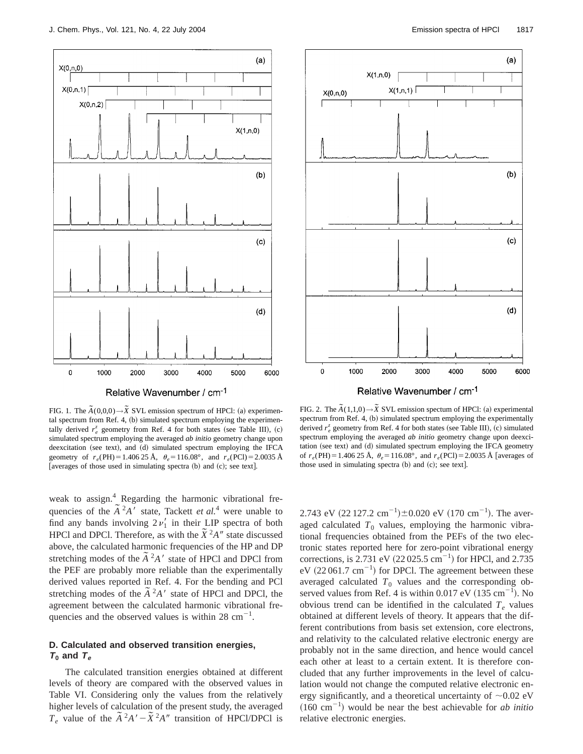

Relative Wavenumber / cm-1

FIG. 1. The  $\tilde{A}(0,0,0) \rightarrow \tilde{X}$  SVL emission spectrum of HPCl: (a) experimental spectrum from Ref. 4,  $(b)$  simulated spectrum employing the experimentally derived  $r_e^z$  geometry from Ref. 4 for both states (see Table III), (c) simulated spectrum employing the averaged *ab initio* geometry change upon deexcitation (see text), and (d) simulated spectrum employing the IFCA geometry of  $r_e$ (PH) = 1.406 25 Å,  $\theta_e$  = 116.08°, and  $r_e$ (PCl) = 2.0035 Å [averages of those used in simulating spectra  $(b)$  and  $(c)$ ; see text].

weak to assign.<sup>4</sup> Regarding the harmonic vibrational frequencies of the  $\tilde{A}^2 A'$  state, Tackett *et al.*<sup>4</sup> were unable to find any bands involving  $2\nu'_1$  in their LIP spectra of both HPCl and DPCl. Therefore, as with the  $\tilde{X}^2A''$  state discussed above, the calculated harmonic frequencies of the HP and DP stretching modes of the  $\tilde{A}^2A'$  state of HPCl and DPCl from the PEF are probably more reliable than the experimentally derived values reported in Ref. 4. For the bending and PCl stretching modes of the  $\tilde{A}^2 A'$  state of HPCl and DPCl, the agreement between the calculated harmonic vibrational frequencies and the observed values is within 28  $cm^{-1}$ .

## **D. Calculated and observed transition energies,**  $T_0$  and  $T_e$

The calculated transition energies obtained at different levels of theory are compared with the observed values in Table VI. Considering only the values from the relatively higher levels of calculation of the present study, the averaged *T<sub>e</sub>* value of the  $\tilde{A}^2 A' - \tilde{X}^2 A''$  transition of HPCl/DPCl is



Relative Wavenumber / cm-1

FIG. 2. The  $\tilde{A}(1,1,0) \rightarrow \tilde{X}$  SVL emission spectum of HPCI: (a) experimental spectrum from Ref. 4, (b) simulated spectrum employing the experimentally derived  $r_e^z$  geometry from Ref. 4 for both states (see Table III), (c) simulated spectrum employing the averaged *ab initio* geometry change upon deexcitation (see text) and (d) simulated spectrum employing the IFCA geometry of  $r_e$ (PH) = 1.406 25 Å,  $\theta_e$  = 116.08°, and  $r_e$ (PCl) = 2.0035 Å [averages of those used in simulating spectra  $(b)$  and  $(c)$ ; see text].

2.743 eV  $(22\ 127.2\ \text{cm}^{-1})\pm0.020\ \text{eV}$   $(170\ \text{cm}^{-1})$ . The averaged calculated  $T_0$  values, employing the harmonic vibrational frequencies obtained from the PEFs of the two electronic states reported here for zero-point vibrational energy corrections, is 2.731 eV  $(22 025.5 \text{ cm}^{-1})$  for HPCl, and 2.735 eV  $(22061.7 \text{ cm}^{-1})$  for DPCl. The agreement between these averaged calculated  $T_0$  values and the corresponding observed values from Ref. 4 is within  $0.017 \text{ eV}$   $(135 \text{ cm}^{-1})$ . No obvious trend can be identified in the calculated  $T_e$  values obtained at different levels of theory. It appears that the different contributions from basis set extension, core electrons, and relativity to the calculated relative electronic energy are probably not in the same direction, and hence would cancel each other at least to a certain extent. It is therefore concluded that any further improvements in the level of calculation would not change the computed relative electronic energy significantly, and a theoretical uncertainty of  $\sim 0.02$  eV  $(160 \text{ cm}^{-1})$  would be near the best achievable for *ab initio* relative electronic energies.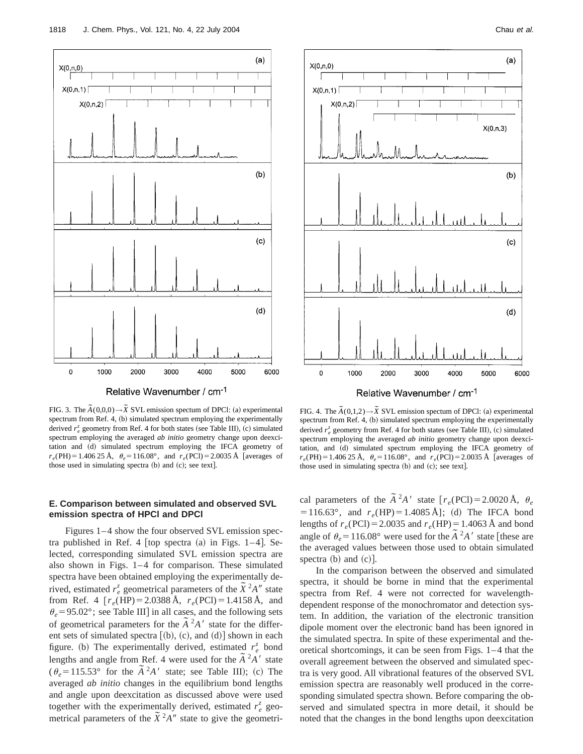

Relative Wavenumber / cm-1

FIG. 3. The  $\tilde{A}(0,0,0) \rightarrow \tilde{X}$  SVL emission spectum of DPCI: (a) experimental spectrum from Ref. 4, (b) simulated spectrum employing the experimentally derived  $r_e^z$  geometry from Ref. 4 for both states (see Table III), (c) simulated spectrum employing the averaged *ab initio* geometry change upon deexcitation and (d) simulated spectrum employing the IFCA geometry of  $r_e$ (PH)=1.406 25 Å,  $\theta_e$ =116.08°, and  $r_e$ (PCl)=2.0035 Å [averages of those used in simulating spectra  $(b)$  and  $(c)$ ; see text].

## **E. Comparison between simulated and observed SVL emission spectra of HPCl and DPCl**

Figures 1–4 show the four observed SVL emission spectra published in Ref. 4  $[top$  spectra  $(a)$  in Figs. 1–4 $]$ . Selected, corresponding simulated SVL emission spectra are also shown in Figs. 1–4 for comparison. These simulated spectra have been obtained employing the experimentally derived, estimated  $r_e^z$  geometrical parameters of the  $\tilde{X}^2 A''$  state from Ref. 4  $[r_e(HP) = 2.0388 \text{ Å}, r_e(PCl) = 1.4158 \text{ Å}, \text{ and}$  $\theta_e$  = 95.02°; see Table III] in all cases, and the following sets  $\sigma_e$  - 5.02 ; see rable H<sub>J</sub> In an eases, and the following sets<br>of geometrical parameters for the  $\tilde{A}^2A'$  state for the different sets of simulated spectra  $[(b), (c),$  and  $(d)]$  shown in each figure. (b) The experimentally derived, estimated  $r_e^z$  bond lengths and angle from Ref. 4 were used for the  $\tilde{A}^2A'$  state  $(\theta_e = 115.53^\circ \text{ for the } \tilde{A}^2 A' \text{ state; see Table III}; \text{ (c) The}$ averaged *ab initio* changes in the equilibrium bond lengths and angle upon deexcitation as discussed above were used together with the experimentally derived, estimated  $r_e^z$  geometrical parameters of the  $\tilde{X}^2 A''$  state to give the geometri-



Relative Wavenumber / cm<sup>-1</sup>

FIG. 4. The  $\tilde{A}(0,1,2) \rightarrow \tilde{X}$  SVL emission spectum of DPCI: (a) experimental spectrum from Ref. 4,  $(b)$  simulated spectrum employing the experimentally derived  $r_e^z$  geometry from Ref. 4 for both states (see Table III), (c) simulated spectrum employing the averaged *ab initio* geometry change upon deexcitation, and (d) simulated spectrum employing the IFCA geometry of  $r_e$ (PH) = 1.406 25 Å,  $\theta_e$  = 116.08°, and  $r_e$ (PCl) = 2.0035 Å [averages of those used in simulating spectra  $(b)$  and  $(c)$ ; see text].

cal parameters of the  $\tilde{A}^2 A'$  state  $[r_e(PCl) = 2.0020 \text{ Å}, \theta_e$  $=116.63^{\circ}$ , and  $r_e(HP) = 1.4085 \text{ Å}$ ; (d) The IFCA bond lengths of  $r_e(PCl) = 2.0035$  and  $r_e(HP) = 1.4063$  Å and bond angle of  $\theta_e = 116.08^\circ$  were used for the  $\tilde{A}^2 A'$  state [these are the averaged values between those used to obtain simulated spectra  $(b)$  and  $(c)$ ].

In the comparison between the observed and simulated spectra, it should be borne in mind that the experimental spectra from Ref. 4 were not corrected for wavelengthdependent response of the monochromator and detection system. In addition, the variation of the electronic transition dipole moment over the electronic band has been ignored in the simulated spectra. In spite of these experimental and theoretical shortcomings, it can be seen from Figs. 1–4 that the overall agreement between the observed and simulated spectra is very good. All vibrational features of the observed SVL emission spectra are reasonably well produced in the corresponding simulated spectra shown. Before comparing the observed and simulated spectra in more detail, it should be noted that the changes in the bond lengths upon deexcitation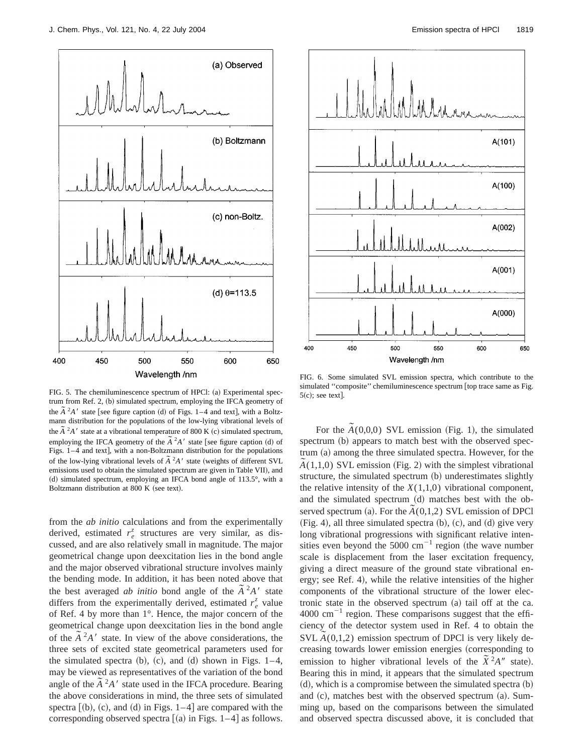

FIG. 5. The chemiluminescence spectrum of HPCl: (a) Experimental spectrum from Ref. 2, (b) simulated spectrum, employing the IFCA geometry of the  $\tilde{A}^2A'$  state [see figure caption (d) of Figs. 1–4 and text], with a Boltzmann distribution for the populations of the low-lying vibrational levels of the  $\tilde{A}^2A'$  state at a vibrational temperature of 800 K (c) simulated spectrum, employing the IFCA geometry of the  $\tilde{A}^2A'$  state [see figure caption (d) of Figs. 1-4 and text], with a non-Boltzmann distribution for the populations of the low-lying vibrational levels of  $\tilde{A}^2A'$  state (weights of different SVL emissions used to obtain the simulated spectrum are given in Table VII), and (d) simulated spectrum, employing an IFCA bond angle of  $113.5^\circ$ , with a Boltzmann distribution at 800 K (see text).

from the *ab initio* calculations and from the experimentally derived, estimated  $r_e^z$  structures are very similar, as discussed, and are also relatively small in magnitude. The major geometrical change upon deexcitation lies in the bond angle and the major observed vibrational structure involves mainly the bending mode. In addition, it has been noted above that the best averaged *ab initio* bond angle of the  $\tilde{A}^2A'$  state differs from the experimentally derived, estimated  $r_e^z$  value of Ref. 4 by more than 1°. Hence, the major concern of the geometrical change upon deexcitation lies in the bond angle from the  $\tilde{A}^2 A'$  state. In view of the above considerations, the three sets of excited state geometrical parameters used for the simulated spectra  $(b)$ ,  $(c)$ , and  $(d)$  shown in Figs. 1–4, may be viewed as representatives of the variation of the bond angle of the  $\tilde{A}^2 A'$  state used in the IFCA procedure. Bearing the above considerations in mind, the three sets of simulated spectra  $[(b), (c),$  and  $(d)$  in Figs. 1–4 are compared with the corresponding observed spectra  $(a)$  in Figs. 1–4 as follows.



FIG. 6. Some simulated SVL emission spectra, which contribute to the simulated "composite" chemiluminescence spectrum [top trace same as Fig.  $5(c)$ ; see text.

For the  $\tilde{A}(0,0,0)$  SVL emission (Fig. 1), the simulated spectrum (b) appears to match best with the observed spec $trum (a)$  among the three simulated spectra. However, for the  $\tilde{A}(1,1,0)$  SVL emission (Fig. 2) with the simplest vibrational structure, the simulated spectrum (b) underestimates slightly the relative intensity of the  $X(1,1,0)$  vibrational component, and the simulated spectrum (d) matches best with the observed spectrum (a). For the  $\tilde{A}(0,1,2)$  SVL emission of DPCl  $(Fig. 4)$ , all three simulated spectra  $(b)$ ,  $(c)$ , and  $(d)$  give very long vibrational progressions with significant relative intensities even beyond the  $5000 \text{ cm}^{-1}$  region (the wave number scale is displacement from the laser excitation frequency, giving a direct measure of the ground state vibrational energy; see Ref. 4), while the relative intensities of the higher components of the vibrational structure of the lower electronic state in the observed spectrum  $(a)$  tail off at the ca.  $4000 \text{ cm}^{-1}$  region. These comparisons suggest that the efficiency of the detector system used in Ref. 4 to obtain the SVL  $\tilde{A}(0,1,2)$  emission spectrum of DPCl is very likely decreasing towards lower emission energies (corresponding to emission to higher vibrational levels of the  $\tilde{X}^2 A''$  state). Bearing this in mind, it appears that the simulated spectrum  $(d)$ , which is a compromise between the simulated spectra  $(b)$ and  $(c)$ , matches best with the observed spectrum  $(a)$ . Summing up, based on the comparisons between the simulated and observed spectra discussed above, it is concluded that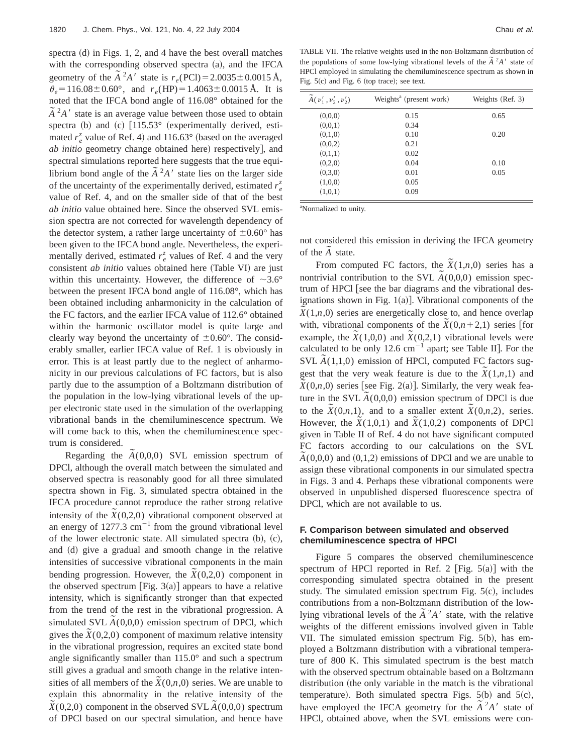spectra  $(d)$  in Figs. 1, 2, and 4 have the best overall matches with the corresponding observed spectra  $(a)$ , and the IFCA geometry of the  $\tilde{A}^2 A'$  state is  $r_e(\text{PCl}) = 2.0035 \pm 0.0015 \text{ Å}$ ,  $\theta_e = 116.08 \pm 0.60^{\circ}$ , and  $r_e$ (HP) = 1.4063  $\pm$  0.0015 Å. It is noted that the IFCA bond angle of 116.08° obtained for the  $\tilde{A}^2 A'$  state is an average value between those used to obtain spectra (b) and (c)  $[115.53°$  (experimentally derived, estimated  $r_e^z$  value of Ref. 4) and 116.63° (based on the averaged *ab initio* geometry change obtained here) respectively], and spectral simulations reported here suggests that the true equilibrium bond angle of the  $\tilde{A}^2A'$  state lies on the larger side of the uncertainty of the experimentally derived, estimated  $r_e^z$ value of Ref. 4, and on the smaller side of that of the best *ab initio* value obtained here. Since the observed SVL emission spectra are not corrected for wavelength dependency of the detector system, a rather large uncertainty of  $\pm 0.60^{\circ}$  has been given to the IFCA bond angle. Nevertheless, the experimentally derived, estimated  $r_e^z$  values of Ref. 4 and the very consistent *ab initio* values obtained here (Table VI) are just within this uncertainty. However, the difference of  $\sim 3.6^{\circ}$ between the present IFCA bond angle of 116.08°, which has been obtained including anharmonicity in the calculation of the FC factors, and the earlier IFCA value of 112.6° obtained within the harmonic oscillator model is quite large and clearly way beyond the uncertainty of  $\pm 0.60^{\circ}$ . The considerably smaller, earlier IFCA value of Ref. 1 is obviously in error. This is at least partly due to the neglect of anharmonicity in our previous calculations of FC factors, but is also partly due to the assumption of a Boltzmann distribution of the population in the low-lying vibrational levels of the upper electronic state used in the simulation of the overlapping vibrational bands in the chemiluminescence spectrum. We will come back to this, when the chemiluminescence spectrum is considered.

Regarding the  $\tilde{A}(0,0,0)$  SVL emission spectrum of DPCl, although the overall match between the simulated and observed spectra is reasonably good for all three simulated spectra shown in Fig. 3, simulated spectra obtained in the IFCA procedure cannot reproduce the rather strong relative intensity of the  $\tilde{X}(0,2,0)$  vibrational component observed at an energy of  $1277.3 \text{ cm}^{-1}$  from the ground vibrational level of the lower electronic state. All simulated spectra  $(b)$ ,  $(c)$ , and (d) give a gradual and smooth change in the relative intensities of successive vibrational components in the main bending progression. However, the  $\tilde{X}(0,2,0)$  component in the observed spectrum [Fig.  $3(a)$ ] appears to have a relative intensity, which is significantly stronger than that expected from the trend of the rest in the vibrational progression. A simulated SVL  $\tilde{A}(0,0,0)$  emission spectrum of DPCl, which gives the  $\tilde{X}(0,2,0)$  component of maximum relative intensity in the vibrational progression, requires an excited state bond angle significantly smaller than 115.0° and such a spectrum still gives a gradual and smooth change in the relative intenstrium gives a gradian and smooth enarge in the relative members of all members of the  $\tilde{X}(0,n,0)$  series. We are unable to explain this abnormality in the relative intensity of the  $\overline{X}(0,2,0)$  component in the observed SVL  $\overline{A}(0,0,0)$  spectrum of DPCl based on our spectral simulation, and hence have

TABLE VII. The relative weights used in the non-Boltzmann distribution of the populations of some low-lying vibrational levels of the  $\tilde{A}^2A'$  state of HPCl employed in simulating the chemiluminescence spectrum as shown in Fig.  $5(c)$  and Fig. 6 (top trace); see text.

| $A(\nu'_1, \nu'_2, \nu'_2)$ | Weights <sup>a</sup> (present work) | Weights (Ref. 3) |
|-----------------------------|-------------------------------------|------------------|
| (0,0,0)                     | 0.15                                | 0.65             |
| (0,0,1)                     | 0.34                                |                  |
| (0,1,0)                     | 0.10                                | 0.20             |
| (0,0,2)                     | 0.21                                |                  |
| (0,1,1)                     | 0.02                                |                  |
| (0,2,0)                     | 0.04                                | 0.10             |
| (0,3,0)                     | 0.01                                | 0.05             |
| (1,0,0)                     | 0.05                                |                  |
| (1,0,1)                     | 0.09                                |                  |

<sup>a</sup>Normalized to unity.

not considered this emission in deriving the IFCA geometry of the  $\tilde{A}$  state.

From computed FC factors, the  $\tilde{X}(1,n,0)$  series has a nontrivial contribution to the SVL  $\tilde{A}(0,0,0)$  emission spectrum of HPCl [see the bar diagrams and the vibrational designations shown in Fig.  $1(a)$ ]. Vibrational components of the  $\overline{X}(1,n,0)$  series are energetically close to, and hence overlap with, vibrational components of the  $\tilde{X}(0,n+2,1)$  series [for example, the  $\tilde{X}(1,0,0)$  and  $\tilde{X}(0,2,1)$  vibrational levels were calculated to be only 12.6 cm<sup>-1</sup> apart; see Table II]. For the SVL  $\tilde{A}(1,1,0)$  emission of HPCl, computed FC factors suggest that the very weak feature is due to the  $\tilde{X}(1,n,1)$  and  $\overline{X}(0,n,0)$  series [see Fig. 2(a)]. Similarly, the very weak feature in the SVL  $\tilde{A}(0,0,0)$  emission spectrum of DPCl is due to the  $\tilde{X}(0,n,1)$ , and to a smaller extent  $\tilde{X}(0,n,2)$ , series. However, the  $\tilde{X}(1,0,1)$  and  $\tilde{X}(1,0,2)$  components of DPCl given in Table II of Ref. 4 do not have significant computed FC factors according to our calculations on the SVL  $\tilde{A}(0,0,0)$  and  $(0,1,2)$  emissions of DPCl and we are unable to assign these vibrational components in our simulated spectra in Figs. 3 and 4. Perhaps these vibrational components were observed in unpublished dispersed fluorescence spectra of DPCl, which are not available to us.

#### **F. Comparison between simulated and observed chemiluminescence spectra of HPCl**

Figure 5 compares the observed chemiluminescence spectrum of HPCl reported in Ref. 2 [Fig.  $5(a)$ ] with the corresponding simulated spectra obtained in the present study. The simulated emission spectrum Fig.  $5(c)$ , includes contributions from a non-Boltzmann distribution of the lowlying vibrational levels of the  $\tilde{A}^2A'$  state, with the relative weights of the different emissions involved given in Table VII. The simulated emission spectrum Fig.  $5(b)$ , has employed a Boltzmann distribution with a vibrational temperature of 800 K. This simulated spectrum is the best match with the observed spectrum obtainable based on a Boltzmann distribution (the only variable in the match is the vibrational temperature). Both simulated spectra Figs.  $5(b)$  and  $5(c)$ , have employed the IFCA geometry for the  $\tilde{A}^2A'$  state of HPCl, obtained above, when the SVL emissions were con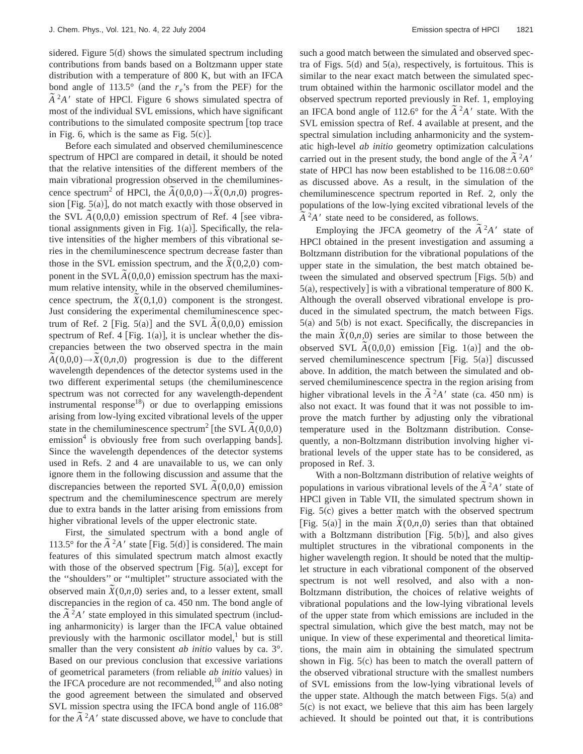sidered. Figure  $5(d)$  shows the simulated spectrum including contributions from bands based on a Boltzmann upper state distribution with a temperature of 800 K, but with an IFCA bond angle of 113.5 $\degree$  (and the  $r_e$ 's from the PEF) for the  $\tilde{A}^2 A'$  state of HPCl. Figure 6 shows simulated spectra of most of the individual SVL emissions, which have significant contributions to the simulated composite spectrum top trace in Fig. 6, which is the same as Fig.  $5(c)$ .

Before each simulated and observed chemiluminescence spectrum of HPCl are compared in detail, it should be noted that the relative intensities of the different members of the main vibrational progression observed in the chemiluminescence spectrum<sup>2</sup> of HPCl, the  $\tilde{A}(0,0,0) \rightarrow \tilde{X}(0,n,0)$  progression [Fig.  $5(a)$ ], do not match exactly with those observed in the SVL  $\tilde{A}(0,0,0)$  emission spectrum of Ref. 4 [see vibrational assignments given in Fig.  $1(a)$ ]. Specifically, the relative intensities of the higher members of this vibrational series in the chemiluminescence spectrum decrease faster than those in the SVL emission spectrum, and the  $\tilde{X}(0,2,0)$  component in the SVL  $\tilde{A}(0,0,0)$  emission spectrum has the maximum relative intensity, while in the observed chemiluminescence spectrum, the  $\tilde{X}(0,1,0)$  component is the strongest. Just considering the experimental chemiluminescence spectrum of Ref. 2 [Fig. 5(a)] and the SVL  $\tilde{A}(0,0,0)$  emission spectrum of Ref. 4 [Fig. 1(a)], it is unclear whether the discrepancies between the two observed spectra in the main  $\tilde{A}(0,0,0) \rightarrow \tilde{X}(0,n,0)$  progression is due to the different wavelength dependences of the detector systems used in the two different experimental setups (the chemiluminescence spectrum was not corrected for any wavelength-dependent instrumental response<sup>18</sup>) or due to overlapping emissions arising from low-lying excited vibrational levels of the upper state in the chemiluminescence spectrum<sup>2</sup> [the SVL  $\tilde{A}(0,0,0)$ ] emission $4$  is obviously free from such overlapping bands]. Since the wavelength dependences of the detector systems used in Refs. 2 and 4 are unavailable to us, we can only ignore them in the following discussion and assume that the discrepancies between the reported SVL  $\tilde{A}(0,0,0)$  emission spectrum and the chemiluminescence spectrum are merely due to extra bands in the latter arising from emissions from higher vibrational levels of the upper electronic state.

First, the simulated spectrum with a bond angle of 113.5° for the  $\tilde{A}^2 A'$  state [Fig. 5(d)] is considered. The main features of this simulated spectrum match almost exactly with those of the observed spectrum [Fig.  $5(a)$ ], except for the ''shoulders'' or ''multiplet'' structure associated with the observed main  $\tilde{X}(0,n,0)$  series and, to a lesser extent, small discrepancies in the region of ca. 450 nm. The bond angle of the  $\tilde{A}^2A'$  state employed in this simulated spectrum (including anharmonicity) is larger than the IFCA value obtained previously with the harmonic oscillator model, $\frac{1}{1}$  but is still smaller than the very consistent *ab initio* values by ca. 3°. Based on our previous conclusion that excessive variations of geometrical parameters (from reliable *ab initio* values) in the IFCA procedure are not recommended,<sup>10</sup> and also noting the good agreement between the simulated and observed SVL mission spectra using the IFCA bond angle of 116.08° for the  $\tilde{A}^2 A'$  state discussed above, we have to conclude that such a good match between the simulated and observed spectra of Figs.  $5(d)$  and  $5(a)$ , respectively, is fortuitous. This is similar to the near exact match between the simulated spectrum obtained within the harmonic oscillator model and the observed spectrum reported previously in Ref. 1, employing an IFCA bond angle of 112.6° for the  $\tilde{A}^2A'$  state. With the SVL emission spectra of Ref. 4 available at present, and the spectral simulation including anharmonicity and the systematic high-level *ab initio* geometry optimization calculations carried out in the present study, the bond angle of the  $\tilde{A}^2 A'$ state of HPCl has now been established to be  $116.08 \pm 0.60^{\circ}$ as discussed above. As a result, in the simulation of the chemiluminescence spectrum reported in Ref. 2, only the populations of the low-lying excited vibrational levels of the  $\tilde{A}^2 A'$  state need to be considered, as follows.

Employing the JFCA geometry of the  $\tilde{A}^2A'$  state of HPCl obtained in the present investigation and assuming a Boltzmann distribution for the vibrational populations of the upper state in the simulation, the best match obtained between the simulated and observed spectrum [Figs.  $5(b)$  and  $5(a)$ , respectively] is with a vibrational temperature of 800 K. Although the overall observed vibrational envelope is produced in the simulated spectrum, the match between Figs.  $5(a)$  and  $5(b)$  is not exact. Specifically, the discrepancies in the main  $\tilde{X}(0,n,0)$  series are similar to those between the observed SVL  $\tilde{A}(0,0,0)$  emission [Fig. 1(a)] and the observed chemiluminescence spectrum [Fig.  $5(a)$ ] discussed above. In addition, the match between the simulated and observed chemiluminescence spectra in the region arising from higher vibrational levels in the  $\tilde{A}^2 A'$  state (ca. 450 nm) is also not exact. It was found that it was not possible to improve the match further by adjusting only the vibrational temperature used in the Boltzmann distribution. Consequently, a non-Boltzmann distribution involving higher vibrational levels of the upper state has to be considered, as proposed in Ref. 3.

With a non-Boltzmann distribution of relative weights of populations in various vibrational levels of the  $\tilde{A}^2 A'$  state of HPCl given in Table VII, the simulated spectrum shown in Fig.  $5(c)$  gives a better match with the observed spectrum Fig. 5(c) gives a better matter what the observed spectrum<br>
[Fig. 5(a)] in the main  $\tilde{X}(0,n,0)$  series than that obtained with a Boltzmann distribution [Fig.  $5(b)$ ], and also gives multiplet structures in the vibrational components in the higher wavelength region. It should be noted that the multiplet structure in each vibrational component of the observed spectrum is not well resolved, and also with a non-Boltzmann distribution, the choices of relative weights of vibrational populations and the low-lying vibrational levels of the upper state from which emissions are included in the spectral simulation, which give the best match, may not be unique. In view of these experimental and theoretical limitations, the main aim in obtaining the simulated spectrum shown in Fig.  $5(c)$  has been to match the overall pattern of the observed vibrational structure with the smallest numbers of SVL emissions from the low-lying vibrational levels of the upper state. Although the match between Figs.  $5(a)$  and  $5(c)$  is not exact, we believe that this aim has been largely achieved. It should be pointed out that, it is contributions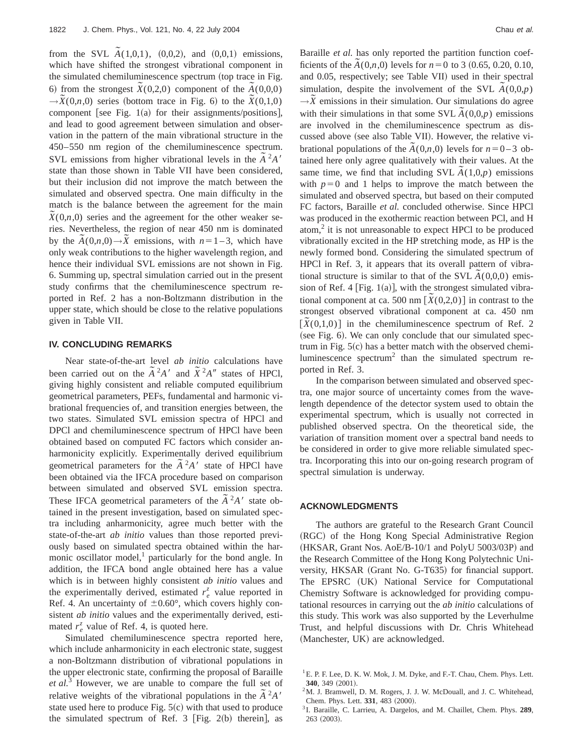from the SVL  $\tilde{A}(1,0,1)$ ,  $(0,0,2)$ , and  $(0,0,1)$  emissions, which have shifted the strongest vibrational component in the simulated chemiluminescence spectrum (top trace in Fig. 6) from the strongest  $\tilde{X}(0,2,0)$  component of the  $\tilde{A}(0,0,0)$  $\rightarrow \tilde{X}(0,n,0)$  series (bottom trace in Fig. 6) to the  $\tilde{X}(0,1,0)$ component [see Fig.  $1(a)$  for their assignments/positions], and lead to good agreement between simulation and observation in the pattern of the main vibrational structure in the 450–550 nm region of the chemiluminescence spectrum. SVL emissions from higher vibrational levels in the  $\tilde{A}^2 A'$ state than those shown in Table VII have been considered, but their inclusion did not improve the match between the simulated and observed spectra. One main difficulty in the match is the balance between the agreement for the main  $\tilde{X}(0,n,0)$  series and the agreement for the other weaker series. Nevertheless, the region of near 450 nm is dominated by the  $\tilde{A}(0,n,0) \rightarrow \tilde{X}$  emissions, with  $n=1-3$ , which have only weak contributions to the higher wavelength region, and hence their individual SVL emissions are not shown in Fig. 6. Summing up, spectral simulation carried out in the present study confirms that the chemiluminescence spectrum reported in Ref. 2 has a non-Boltzmann distribution in the upper state, which should be close to the relative populations given in Table VII.

## **IV. CONCLUDING REMARKS**

Near state-of-the-art level *ab initio* calculations have been carried out on the  $\tilde{A}^2 A^{\prime}$  and  $\tilde{X}^2 A^{\prime\prime}$  states of HPCl, giving highly consistent and reliable computed equilibrium geometrical parameters, PEFs, fundamental and harmonic vibrational frequencies of, and transition energies between, the two states. Simulated SVL emission spectra of HPCl and DPCl and chemiluminescence spectrum of HPCl have been obtained based on computed FC factors which consider anharmonicity explicitly. Experimentally derived equilibrium geometrical parameters for the  $\tilde{A}^2A'$  state of HPCl have been obtained via the IFCA procedure based on comparison between simulated and observed SVL emission spectra. These IFCA geometrical parameters of the  $\tilde{A}^2 A^7$  state obtained in the present investigation, based on simulated spectra including anharmonicity, agree much better with the state-of-the-art *ab initio* values than those reported previously based on simulated spectra obtained within the harmonic oscillator model, $<sup>1</sup>$  particularly for the bond angle. In</sup> addition, the IFCA bond angle obtained here has a value which is in between highly consistent *ab initio* values and the experimentally derived, estimated  $r_e^z$  value reported in Ref. 4. An uncertainty of  $\pm 0.60^{\circ}$ , which covers highly consistent *ab initio* values and the experimentally derived, estimated  $r_e^z$  value of Ref. 4, is quoted here.

Simulated chemiluminescence spectra reported here, which include anharmonicity in each electronic state, suggest a non-Boltzmann distribution of vibrational populations in the upper electronic state, confirming the proposal of Baraille *et al.*<sup>3</sup> However, we are unable to compare the full set of relative weights of the vibrational populations in the  $\tilde{A}^2 A'$ state used here to produce Fig.  $5(c)$  with that used to produce the simulated spectrum of Ref. 3 [Fig. 2(b) therein], as Baraille *et al.* has only reported the partition function coefbatance *a*  $\alpha$ , has only reported the partition raneator coefficients of the  $\tilde{A}(0,n,0)$  levels for  $n=0$  to 3  $(0.65, 0.20, 0.10,$ and 0.05, respectively; see Table VII) used in their spectral simulation, despite the involvement of the SVL  $\tilde{A}(0,0,p)$  $\rightarrow \tilde{X}$  emissions in their simulation. Our simulations do agree  $\overline{X}$  emissions in their simulation. Our simulations to agree with their simulations in that some SVL  $\tilde{A}(0,0,p)$  emissions are involved in the chemiluminescence spectrum as discussed above (see also Table VII). However, the relative vibrational populations of the  $\tilde{A}(0,n,0)$  levels for  $n=0-3$  obtained here only agree qualitatively with their values. At the same time, we find that including SVL  $\tilde{A}(1,0,p)$  emissions with  $p=0$  and 1 helps to improve the match between the simulated and observed spectra, but based on their computed FC factors, Baraille *et al.* concluded otherwise. Since HPCl was produced in the exothermic reaction between PCl, and H atom, $2$  it is not unreasonable to expect HPCl to be produced vibrationally excited in the HP stretching mode, as HP is the newly formed bond. Considering the simulated spectrum of HPCl in Ref. 3, it appears that its overall pattern of vibrational structure is similar to that of the SVL  $\tilde{A}(0,0,0)$  emission of Ref. 4 [Fig.  $1(a)$ ], with the strongest simulated vibrational component at ca. 500 nm  $[\tilde{X}(0,2,0)]$  in contrast to the strongest observed vibrational component at ca. 450 nm  $[\tilde{X}(0,1,0)]$  in the chemiluminescence spectrum of Ref. 2 (see Fig. 6). We can only conclude that our simulated spectrum in Fig.  $5(c)$  has a better match with the observed chemiluminescence spectrum<sup>2</sup> than the simulated spectrum reported in Ref. 3.

In the comparison between simulated and observed spectra, one major source of uncertainty comes from the wavelength dependence of the detector system used to obtain the experimental spectrum, which is usually not corrected in published observed spectra. On the theoretical side, the variation of transition moment over a spectral band needs to be considered in order to give more reliable simulated spectra. Incorporating this into our on-going research program of spectral simulation is underway.

#### **ACKNOWLEDGMENTS**

The authors are grateful to the Research Grant Council (RGC) of the Hong Kong Special Administrative Region  $(HKSAR, Grant Nos. AoE/B-10/1 and PolyU 5003/03P)$  and the Research Committee of the Hong Kong Polytechnic University, HKSAR (Grant No. G-T635) for financial support. The EPSRC (UK) National Service for Computational Chemistry Software is acknowledged for providing computational resources in carrying out the *ab initio* calculations of this study. This work was also supported by the Leverhulme Trust, and helpful discussions with Dr. Chris Whitehead (Manchester, UK) are acknowledged.

 $2^2$ M. J. Bramwell, D. M. Rogers, J. J. W. McDouall, and J. C. Whitehead, Chem. Phys. Lett. 331, 483 (2000).

<sup>&</sup>lt;sup>1</sup> E. P. F. Lee, D. K. W. Mok, J. M. Dyke, and F.-T. Chau, Chem. Phys. Lett. 340, 349 (2001).

<sup>3</sup> I. Baraille, C. Larrieu, A. Dargelos, and M. Chaillet, Chem. Phys. **289**,  $263$   $(2003)$ .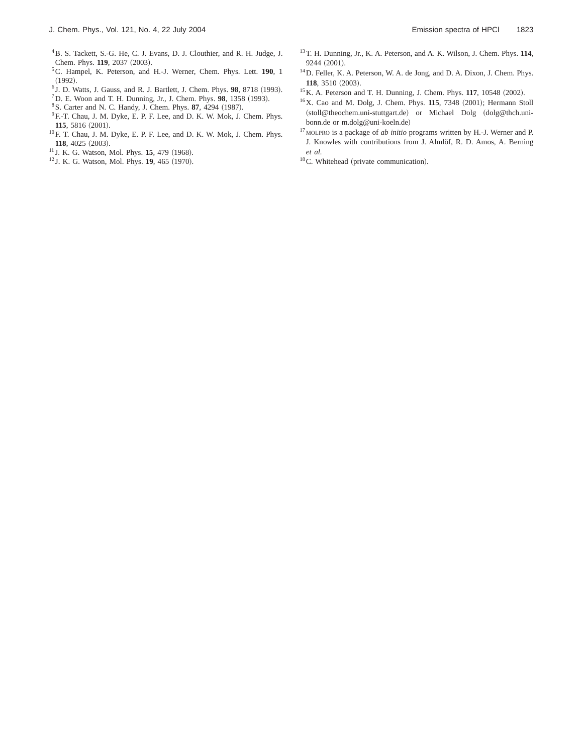- 4B. S. Tackett, S.-G. He, C. J. Evans, D. J. Clouthier, and R. H. Judge, J. Chem. Phys. 119, 2037 (2003).
- 5C. Hampel, K. Peterson, and H.-J. Werner, Chem. Phys. Lett. **190**, 1  $(1992).$
- $6$  J. D. Watts, J. Gauss, and R. J. Bartlett, J. Chem. Phys.  $98$ ,  $8718$  (1993).
- ${}^{7}$ D. E. Woon and T. H. Dunning, Jr., J. Chem. Phys. **98**, 1358 (1993).
- <sup>8</sup> S. Carter and N. C. Handy, J. Chem. Phys. 87, 4294 (1987).
- <sup>9</sup> F.-T. Chau, J. M. Dyke, E. P. F. Lee, and D. K. W. Mok, J. Chem. Phys. 115, 5816 (2001).
- 10F. T. Chau, J. M. Dyke, E. P. F. Lee, and D. K. W. Mok, J. Chem. Phys. **118**, 4025 (2003).
- <sup>11</sup> J. K. G. Watson, Mol. Phys. **15**, 479 (1968).
- <sup>12</sup> J. K. G. Watson, Mol. Phys. **19**, 465 (1970).
- 13T. H. Dunning, Jr., K. A. Peterson, and A. K. Wilson, J. Chem. Phys. **114**, 9244 (2001).
- 14D. Feller, K. A. Peterson, W. A. de Jong, and D. A. Dixon, J. Chem. Phys. **118**, 3510 (2003).
- <sup>15</sup> K. A. Peterson and T. H. Dunning, J. Chem. Phys. **117**, 10548 (2002).
- <sup>16</sup>X. Cao and M. Dolg, J. Chem. Phys. **115**, 7348 (2001); Hermann Stoll (stoll@theochem.uni-stuttgart.de) or Michael Dolg (dolg@thch.unibonn.de or m.dolg@uni-koeln.de)
- <sup>17</sup> MOLPRO is a package of *ab initio* programs written by H.-J. Werner and P. J. Knowles with contributions from J. Almlöf, R. D. Amos, A. Berning *et al.*
- $18$ C. Whitehead (private communication).